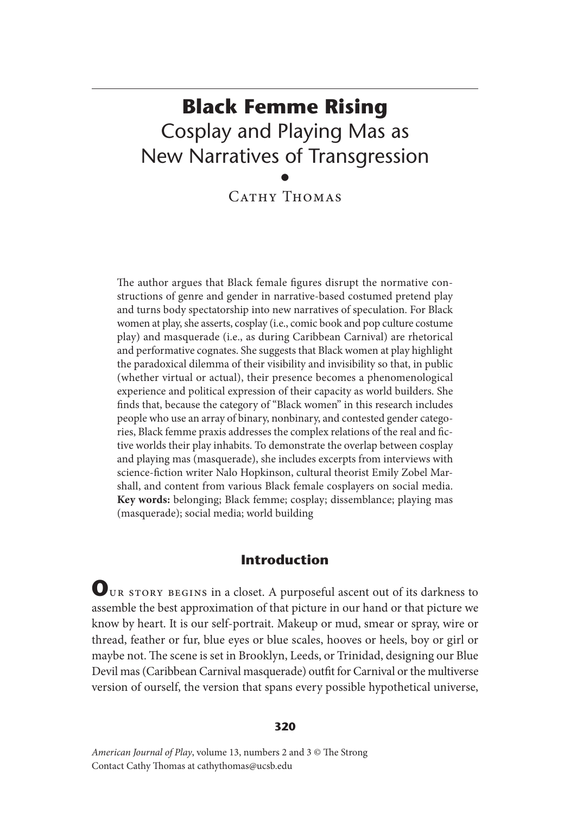# **Black Femme Rising** Cosplay and Playing Mas as New Narratives of Transgression •

CATHY THOMAS

The author argues that Black female figures disrupt the normative constructions of genre and gender in narrative-based costumed pretend play and turns body spectatorship into new narratives of speculation. For Black women at play, she asserts, cosplay (i.e., comic book and pop culture costume play) and masquerade (i.e., as during Caribbean Carnival) are rhetorical and performative cognates. She suggests that Black women at play highlight the paradoxical dilemma of their visibility and invisibility so that, in public (whether virtual or actual), their presence becomes a phenomenological experience and political expression of their capacity as world builders. She finds that, because the category of "Black women" in this research includes people who use an array of binary, nonbinary, and contested gender categories, Black femme praxis addresses the complex relations of the real and fictive worlds their play inhabits. To demonstrate the overlap between cosplay and playing mas (masquerade), she includes excerpts from interviews with science-fiction writer Nalo Hopkinson, cultural theorist Emily Zobel Marshall, and content from various Black female cosplayers on social media. **Key words:** belonging; Black femme; cosplay; dissemblance; playing mas (masquerade); social media; world building

## **Introduction**

**O**ur story begins in a closet. A purposeful ascent out of its darkness to assemble the best approximation of that picture in our hand or that picture we know by heart. It is our self-portrait. Makeup or mud, smear or spray, wire or thread, feather or fur, blue eyes or blue scales, hooves or heels, boy or girl or maybe not. The scene is set in Brooklyn, Leeds, or Trinidad, designing our Blue Devil mas (Caribbean Carnival masquerade) outfit for Carnival or the multiverse version of ourself, the version that spans every possible hypothetical universe,

#### **320**

*American Journal of Play*, volume 13, numbers 2 and 3 © The Strong Contact Cathy Thomas at cathythomas@ucsb.edu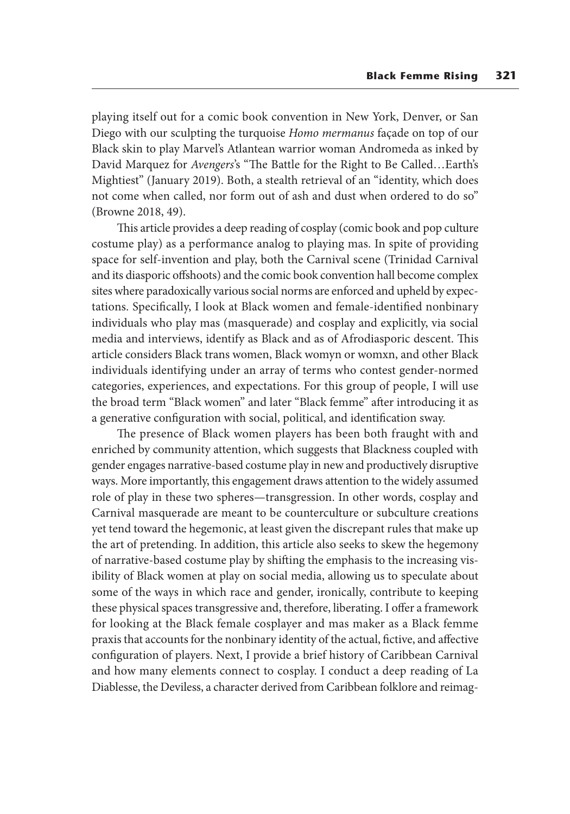playing itself out for a comic book convention in New York, Denver, or San Diego with our sculpting the turquoise *Homo mermanus* façade on top of our Black skin to play Marvel's Atlantean warrior woman Andromeda as inked by David Marquez for *Avengers*'s "The Battle for the Right to Be Called…Earth's Mightiest" (January 2019). Both, a stealth retrieval of an "identity, which does not come when called, nor form out of ash and dust when ordered to do so" (Browne 2018, 49).

This article provides a deep reading of cosplay (comic book and pop culture costume play) as a performance analog to playing mas. In spite of providing space for self-invention and play, both the Carnival scene (Trinidad Carnival and its diasporic offshoots) and the comic book convention hall become complex sites where paradoxically various social norms are enforced and upheld by expectations. Specifically, I look at Black women and female-identified nonbinary individuals who play mas (masquerade) and cosplay and explicitly, via social media and interviews, identify as Black and as of Afrodiasporic descent. This article considers Black trans women, Black womyn or womxn, and other Black individuals identifying under an array of terms who contest gender-normed categories, experiences, and expectations. For this group of people, I will use the broad term "Black women" and later "Black femme" after introducing it as a generative configuration with social, political, and identification sway.

The presence of Black women players has been both fraught with and enriched by community attention, which suggests that Blackness coupled with gender engages narrative-based costume play in new and productively disruptive ways. More importantly, this engagement draws attention to the widely assumed role of play in these two spheres—transgression. In other words, cosplay and Carnival masquerade are meant to be counterculture or subculture creations yet tend toward the hegemonic, at least given the discrepant rules that make up the art of pretending. In addition, this article also seeks to skew the hegemony of narrative-based costume play by shifting the emphasis to the increasing visibility of Black women at play on social media, allowing us to speculate about some of the ways in which race and gender, ironically, contribute to keeping these physical spaces transgressive and, therefore, liberating. I offer a framework for looking at the Black female cosplayer and mas maker as a Black femme praxis that accounts for the nonbinary identity of the actual, fictive, and affective configuration of players. Next, I provide a brief history of Caribbean Carnival and how many elements connect to cosplay. I conduct a deep reading of La Diablesse, the Deviless, a character derived from Caribbean folklore and reimag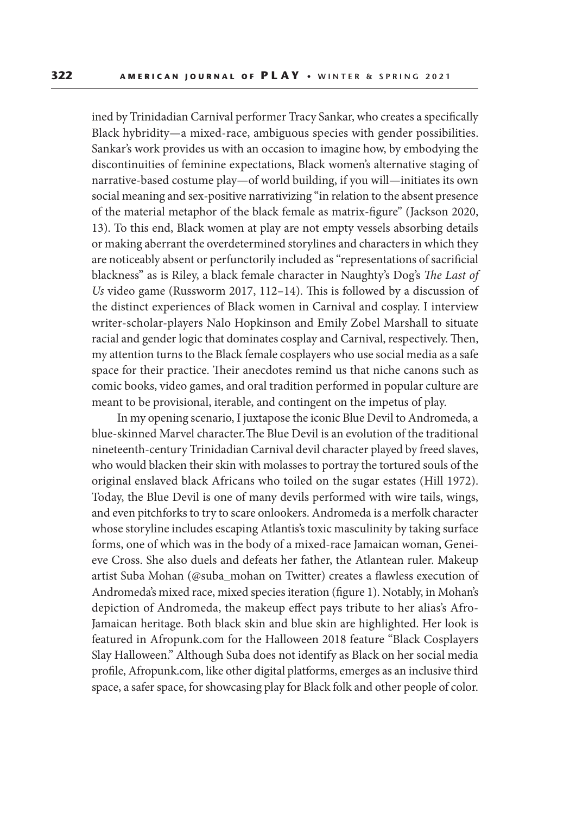ined by Trinidadian Carnival performer Tracy Sankar, who creates a specifically Black hybridity—a mixed-race, ambiguous species with gender possibilities. Sankar's work provides us with an occasion to imagine how, by embodying the discontinuities of feminine expectations, Black women's alternative staging of narrative-based costume play—of world building, if you will—initiates its own social meaning and sex-positive narrativizing "in relation to the absent presence of the material metaphor of the black female as matrix-figure" (Jackson 2020, 13). To this end, Black women at play are not empty vessels absorbing details or making aberrant the overdetermined storylines and characters in which they are noticeably absent or perfunctorily included as "representations of sacrificial blackness" as is Riley, a black female character in Naughty's Dog's *The Last of Us* video game (Russworm 2017, 112–14). This is followed by a discussion of the distinct experiences of Black women in Carnival and cosplay. I interview writer-scholar-players Nalo Hopkinson and Emily Zobel Marshall to situate racial and gender logic that dominates cosplay and Carnival, respectively. Then, my attention turns to the Black female cosplayers who use social media as a safe space for their practice. Their anecdotes remind us that niche canons such as comic books, video games, and oral tradition performed in popular culture are meant to be provisional, iterable, and contingent on the impetus of play.

In my opening scenario, I juxtapose the iconic Blue Devil to Andromeda, a blue-skinned Marvel character. The Blue Devil is an evolution of the traditional nineteenth-century Trinidadian Carnival devil character played by freed slaves, who would blacken their skin with molasses to portray the tortured souls of the original enslaved black Africans who toiled on the sugar estates (Hill 1972). Today, the Blue Devil is one of many devils performed with wire tails, wings, and even pitchforks to try to scare onlookers. Andromeda is a merfolk character whose storyline includes escaping Atlantis's toxic masculinity by taking surface forms, one of which was in the body of a mixed-race Jamaican woman, Geneieve Cross. She also duels and defeats her father, the Atlantean ruler. Makeup artist Suba Mohan (@suba\_mohan on Twitter) creates a flawless execution of Andromeda's mixed race, mixed species iteration (figure 1). Notably, in Mohan's depiction of Andromeda, the makeup effect pays tribute to her alias's Afro-Jamaican heritage. Both black skin and blue skin are highlighted. Her look is featured in Afropunk.com for the Halloween 2018 feature "Black Cosplayers Slay Halloween." Although Suba does not identify as Black on her social media profile, Afropunk.com, like other digital platforms, emerges as an inclusive third space, a safer space, for showcasing play for Black folk and other people of color.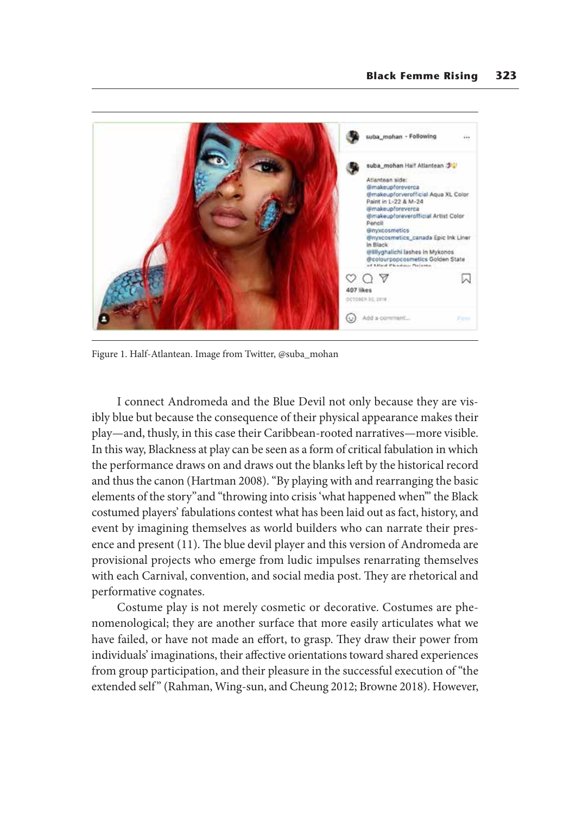

Figure 1. Half-Atlantean. Image from Twitter, @suba\_mohan

I connect Andromeda and the Blue Devil not only because they are visibly blue but because the consequence of their physical appearance makes their play—and, thusly, in this case their Caribbean-rooted narratives—more visible. In this way, Blackness at play can be seen as a form of critical fabulation in which the performance draws on and draws out the blanks left by the historical record and thus the canon (Hartman 2008). "By playing with and rearranging the basic elements of the story" and "throwing into crisis 'what happened when'" the Black costumed players' fabulations contest what has been laid out as fact, history, and event by imagining themselves as world builders who can narrate their presence and present (11). The blue devil player and this version of Andromeda are provisional projects who emerge from ludic impulses renarrating themselves with each Carnival, convention, and social media post. They are rhetorical and performative cognates.

Costume play is not merely cosmetic or decorative. Costumes are phenomenological; they are another surface that more easily articulates what we have failed, or have not made an effort, to grasp. They draw their power from individuals' imaginations, their affective orientations toward shared experiences from group participation, and their pleasure in the successful execution of "the extended self" (Rahman, Wing-sun, and Cheung 2012; Browne 2018). However,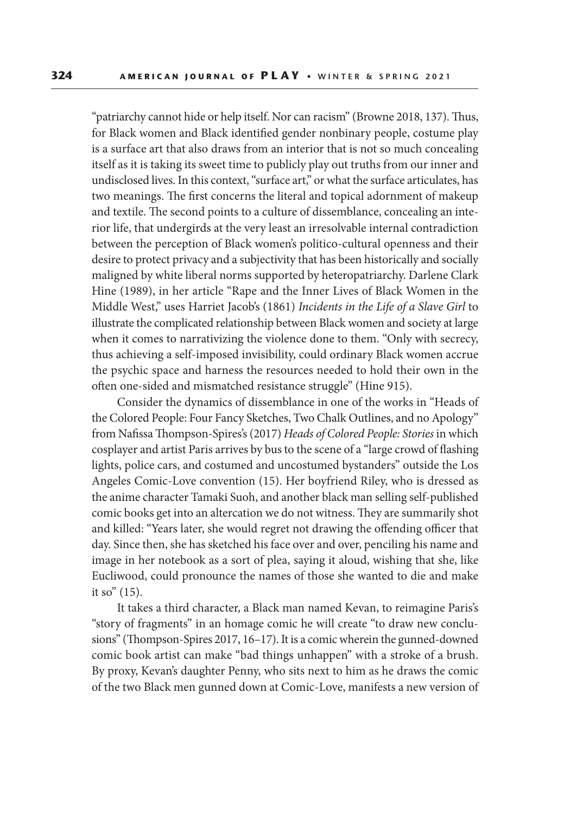"patriarchy cannot hide or help itself. Nor can racism" (Browne 2018, 137). Thus, for Black women and Black identified gender nonbinary people, costume play is a surface art that also draws from an interior that is not so much concealing itself as it is taking its sweet time to publicly play out truths from our inner and undisclosed lives. In this context, "surface art," or what the surface articulates, has two meanings. The first concerns the literal and topical adornment of makeup and textile. The second points to a culture of dissemblance, concealing an interior life, that undergirds at the very least an irresolvable internal contradiction between the perception of Black women's politico-cultural openness and their desire to protect privacy and a subjectivity that has been historically and socially maligned by white liberal norms supported by heteropatriarchy. Darlene Clark Hine (1989), in her article "Rape and the Inner Lives of Black Women in the Middle West," uses Harriet Jacob's (1861) *Incidents in the Life of a Slave Girl* to illustrate the complicated relationship between Black women and society at large when it comes to narrativizing the violence done to them. "Only with secrecy, thus achieving a self-imposed invisibility, could ordinary Black women accrue the psychic space and harness the resources needed to hold their own in the often one-sided and mismatched resistance struggle" (Hine 915).

Consider the dynamics of dissemblance in one of the works in "Heads of the Colored People: Four Fancy Sketches, Two Chalk Outlines, and no Apology" from Nafissa Thompson-Spires's (2017) *Heads of Colored People: Stories* in which cosplayer and artist Paris arrives by bus to the scene of a "large crowd of flashing lights, police cars, and costumed and uncostumed bystanders" outside the Los Angeles Comic-Love convention (15). Her boyfriend Riley, who is dressed as the anime character Tamaki Suoh, and another black man selling self-published comic books get into an altercation we do not witness. They are summarily shot and killed: "Years later, she would regret not drawing the offending officer that day. Since then, she has sketched his face over and over, penciling his name and image in her notebook as a sort of plea, saying it aloud, wishing that she, like Eucliwood, could pronounce the names of those she wanted to die and make it so" (15).

It takes a third character, a Black man named Kevan, to reimagine Paris's "story of fragments" in an homage comic he will create "to draw new conclusions" (Thompson-Spires 2017, 16–17). It is a comic wherein the gunned-downed comic book artist can make "bad things unhappen" with a stroke of a brush. By proxy, Kevan's daughter Penny, who sits next to him as he draws the comic of the two Black men gunned down at Comic-Love, manifests a new version of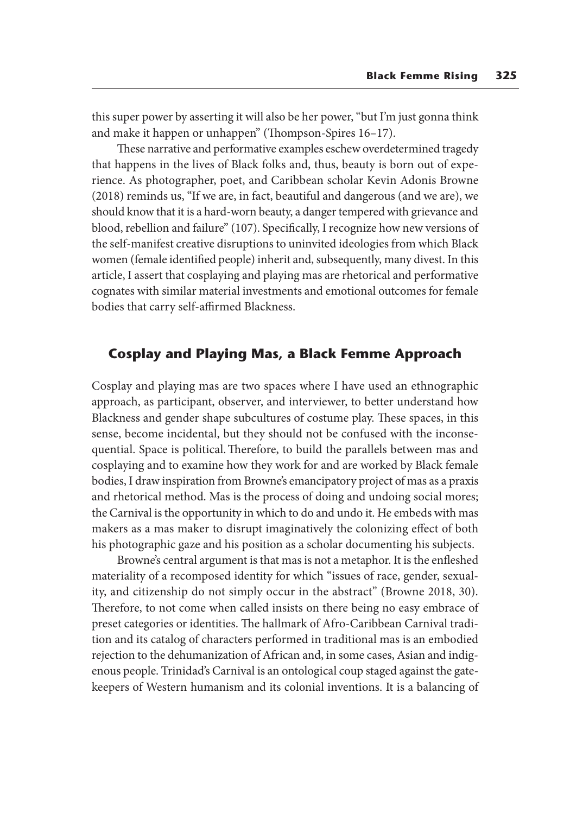this super power by asserting it will also be her power, "but I'm just gonna think and make it happen or unhappen" (Thompson-Spires 16–17).

These narrative and performative examples eschew overdetermined tragedy that happens in the lives of Black folks and, thus, beauty is born out of experience. As photographer, poet, and Caribbean scholar Kevin Adonis Browne (2018) reminds us, "If we are, in fact, beautiful and dangerous (and we are), we should know that it is a hard-worn beauty, a danger tempered with grievance and blood, rebellion and failure" (107). Specifically, I recognize how new versions of the self-manifest creative disruptions to uninvited ideologies from which Black women (female identified people) inherit and, subsequently, many divest. In this article, I assert that cosplaying and playing mas are rhetorical and performative cognates with similar material investments and emotional outcomes for female bodies that carry self-affirmed Blackness.

#### **Cosplay and Playing Mas, a Black Femme Approach**

Cosplay and playing mas are two spaces where I have used an ethnographic approach, as participant, observer, and interviewer, to better understand how Blackness and gender shape subcultures of costume play. These spaces, in this sense, become incidental, but they should not be confused with the inconsequential. Space is political. Therefore, to build the parallels between mas and cosplaying and to examine how they work for and are worked by Black female bodies, I draw inspiration from Browne's emancipatory project of mas as a praxis and rhetorical method. Mas is the process of doing and undoing social mores; the Carnival is the opportunity in which to do and undo it. He embeds with mas makers as a mas maker to disrupt imaginatively the colonizing effect of both his photographic gaze and his position as a scholar documenting his subjects.

Browne's central argument is that mas is not a metaphor. It is the enfleshed materiality of a recomposed identity for which "issues of race, gender, sexuality, and citizenship do not simply occur in the abstract" (Browne 2018, 30). Therefore, to not come when called insists on there being no easy embrace of preset categories or identities. The hallmark of Afro-Caribbean Carnival tradition and its catalog of characters performed in traditional mas is an embodied rejection to the dehumanization of African and, in some cases, Asian and indigenous people. Trinidad's Carnival is an ontological coup staged against the gatekeepers of Western humanism and its colonial inventions. It is a balancing of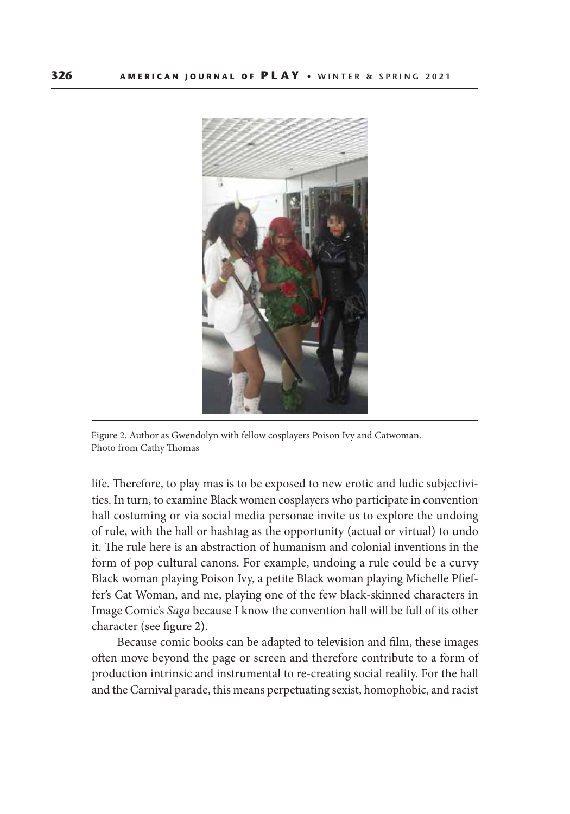

Figure 2. Author as Gwendolyn with fellow cosplayers Poison Ivy and Catwoman. Photo from Cathy Thomas

life. Therefore, to play mas is to be exposed to new erotic and ludic subjectivities. In turn, to examine Black women cosplayers who participate in convention hall costuming or via social media personae invite us to explore the undoing of rule, with the hall or hashtag as the opportunity (actual or virtual) to undo it. The rule here is an abstraction of humanism and colonial inventions in the form of pop cultural canons. For example, undoing a rule could be a curvy Black woman playing Poison Ivy, a petite Black woman playing Michelle Pfieffer's Cat Woman, and me, playing one of the few black-skinned characters in Image Comic's *Saga* because I know the convention hall will be full of its other character (see figure 2).

Because comic books can be adapted to television and film, these images often move beyond the page or screen and therefore contribute to a form of production intrinsic and instrumental to re-creating social reality. For the hall and the Carnival parade, this means perpetuating sexist, homophobic, and racist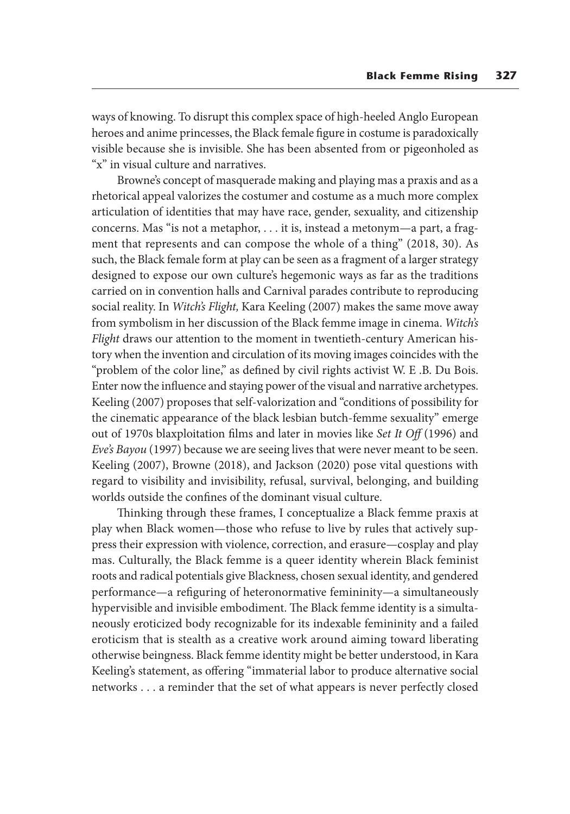ways of knowing. To disrupt this complex space of high-heeled Anglo European heroes and anime princesses, the Black female figure in costume is paradoxically visible because she is invisible. She has been absented from or pigeonholed as "x" in visual culture and narratives.

Browne's concept of masquerade making and playing mas a praxis and as a rhetorical appeal valorizes the costumer and costume as a much more complex articulation of identities that may have race, gender, sexuality, and citizenship concerns. Mas "is not a metaphor, . . . it is, instead a metonym—a part, a fragment that represents and can compose the whole of a thing" (2018, 30). As such, the Black female form at play can be seen as a fragment of a larger strategy designed to expose our own culture's hegemonic ways as far as the traditions carried on in convention halls and Carnival parades contribute to reproducing social reality. In *Witch's Flight,* Kara Keeling (2007) makes the same move away from symbolism in her discussion of the Black femme image in cinema. *Witch's Flight* draws our attention to the moment in twentieth-century American history when the invention and circulation of its moving images coincides with the "problem of the color line," as defined by civil rights activist W. E .B. Du Bois. Enter now the influence and staying power of the visual and narrative archetypes. Keeling (2007) proposes that self-valorization and "conditions of possibility for the cinematic appearance of the black lesbian butch-femme sexuality" emerge out of 1970s blaxploitation films and later in movies like *Set It Off* (1996) and *Eve's Bayou* (1997) because we are seeing lives that were never meant to be seen. Keeling (2007), Browne (2018), and Jackson (2020) pose vital questions with regard to visibility and invisibility, refusal, survival, belonging, and building worlds outside the confines of the dominant visual culture.

Thinking through these frames, I conceptualize a Black femme praxis at play when Black women—those who refuse to live by rules that actively suppress their expression with violence, correction, and erasure—cosplay and play mas. Culturally, the Black femme is a queer identity wherein Black feminist roots and radical potentials give Blackness, chosen sexual identity, and gendered performance—a refiguring of heteronormative femininity—a simultaneously hypervisible and invisible embodiment. The Black femme identity is a simultaneously eroticized body recognizable for its indexable femininity and a failed eroticism that is stealth as a creative work around aiming toward liberating otherwise beingness. Black femme identity might be better understood, in Kara Keeling's statement, as offering "immaterial labor to produce alternative social networks . . . a reminder that the set of what appears is never perfectly closed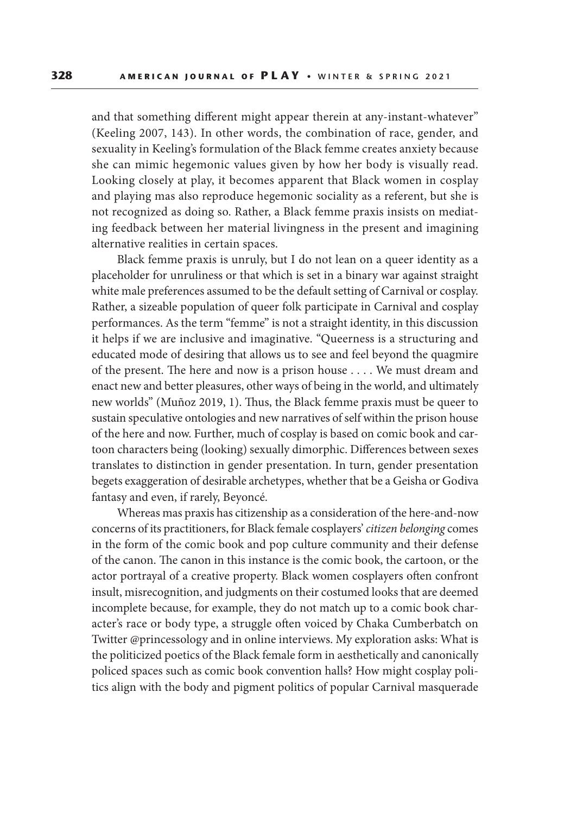and that something different might appear therein at any-instant-whatever" (Keeling 2007, 143). In other words, the combination of race, gender, and sexuality in Keeling's formulation of the Black femme creates anxiety because she can mimic hegemonic values given by how her body is visually read. Looking closely at play, it becomes apparent that Black women in cosplay and playing mas also reproduce hegemonic sociality as a referent, but she is not recognized as doing so. Rather, a Black femme praxis insists on mediating feedback between her material livingness in the present and imagining alternative realities in certain spaces.

Black femme praxis is unruly, but I do not lean on a queer identity as a placeholder for unruliness or that which is set in a binary war against straight white male preferences assumed to be the default setting of Carnival or cosplay. Rather, a sizeable population of queer folk participate in Carnival and cosplay performances. As the term "femme" is not a straight identity, in this discussion it helps if we are inclusive and imaginative. "Queerness is a structuring and educated mode of desiring that allows us to see and feel beyond the quagmire of the present. The here and now is a prison house . . . . We must dream and enact new and better pleasures, other ways of being in the world, and ultimately new worlds" (Muñoz 2019, 1). Thus, the Black femme praxis must be queer to sustain speculative ontologies and new narratives of self within the prison house of the here and now. Further, much of cosplay is based on comic book and cartoon characters being (looking) sexually dimorphic. Differences between sexes translates to distinction in gender presentation. In turn, gender presentation begets exaggeration of desirable archetypes, whether that be a Geisha or Godiva fantasy and even, if rarely, Beyoncé.

Whereas mas praxis has citizenship as a consideration of the here-and-now concerns of its practitioners, for Black female cosplayers' *citizen belonging* comes in the form of the comic book and pop culture community and their defense of the canon. The canon in this instance is the comic book, the cartoon, or the actor portrayal of a creative property. Black women cosplayers often confront insult, misrecognition, and judgments on their costumed looks that are deemed incomplete because, for example, they do not match up to a comic book character's race or body type, a struggle often voiced by Chaka Cumberbatch on Twitter @princessology and in online interviews. My exploration asks: What is the politicized poetics of the Black female form in aesthetically and canonically policed spaces such as comic book convention halls? How might cosplay politics align with the body and pigment politics of popular Carnival masquerade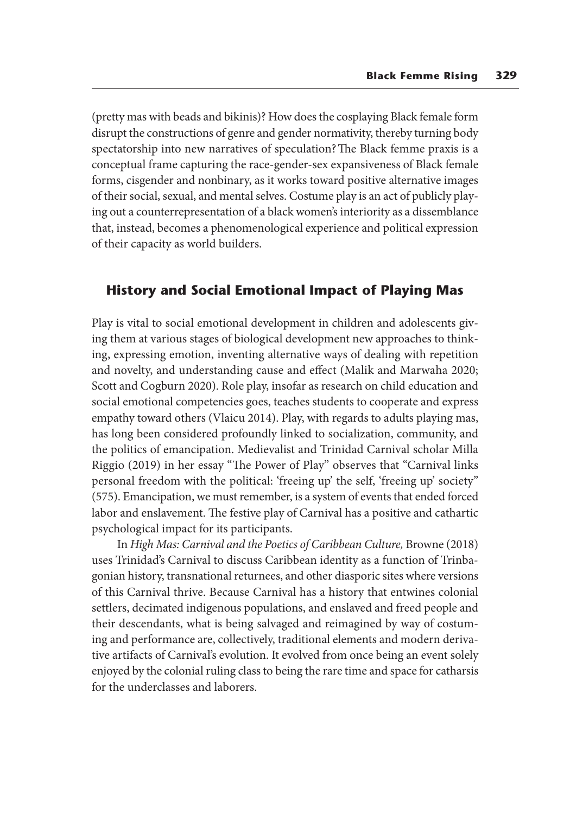(pretty mas with beads and bikinis)? How does the cosplaying Black female form disrupt the constructions of genre and gender normativity, thereby turning body spectatorship into new narratives of speculation? The Black femme praxis is a conceptual frame capturing the race-gender-sex expansiveness of Black female forms, cisgender and nonbinary, as it works toward positive alternative images of their social, sexual, and mental selves. Costume play is an act of publicly playing out a counterrepresentation of a black women's interiority as a dissemblance that, instead, becomes a phenomenological experience and political expression of their capacity as world builders.

### **History and Social Emotional Impact of Playing Mas**

Play is vital to social emotional development in children and adolescents giving them at various stages of biological development new approaches to thinking, expressing emotion, inventing alternative ways of dealing with repetition and novelty, and understanding cause and effect (Malik and Marwaha 2020; Scott and Cogburn 2020). Role play, insofar as research on child education and social emotional competencies goes, teaches students to cooperate and express empathy toward others (Vlaicu 2014). Play, with regards to adults playing mas, has long been considered profoundly linked to socialization, community, and the politics of emancipation. Medievalist and Trinidad Carnival scholar Milla Riggio (2019) in her essay "The Power of Play" observes that "Carnival links personal freedom with the political: 'freeing up' the self, 'freeing up' society" (575). Emancipation, we must remember, is a system of events that ended forced labor and enslavement. The festive play of Carnival has a positive and cathartic psychological impact for its participants.

In *High Mas: Carnival and the Poetics of Caribbean Culture,* Browne (2018) uses Trinidad's Carnival to discuss Caribbean identity as a function of Trinbagonian history, transnational returnees, and other diasporic sites where versions of this Carnival thrive. Because Carnival has a history that entwines colonial settlers, decimated indigenous populations, and enslaved and freed people and their descendants, what is being salvaged and reimagined by way of costuming and performance are, collectively, traditional elements and modern derivative artifacts of Carnival's evolution. It evolved from once being an event solely enjoyed by the colonial ruling class to being the rare time and space for catharsis for the underclasses and laborers.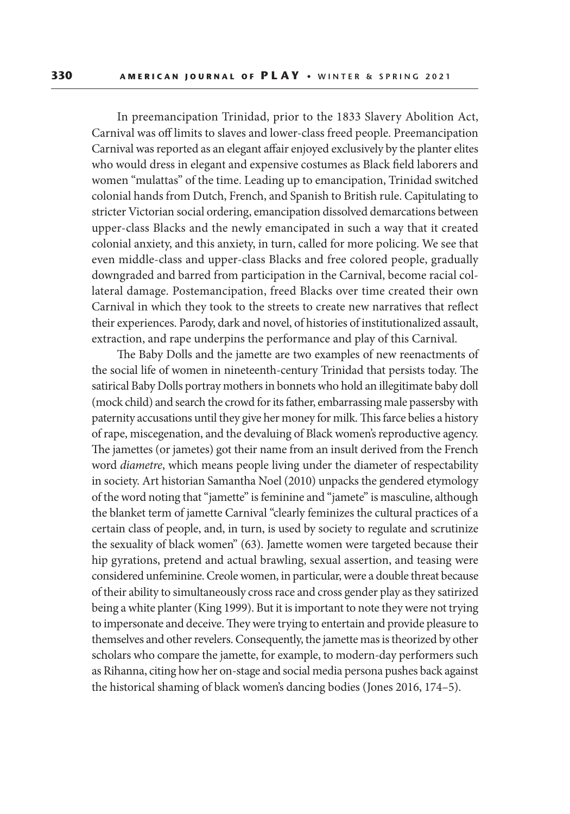In preemancipation Trinidad, prior to the 1833 Slavery Abolition Act, Carnival was off limits to slaves and lower-class freed people. Preemancipation Carnival was reported as an elegant affair enjoyed exclusively by the planter elites who would dress in elegant and expensive costumes as Black field laborers and women "mulattas" of the time. Leading up to emancipation, Trinidad switched colonial hands from Dutch, French, and Spanish to British rule. Capitulating to stricter Victorian social ordering, emancipation dissolved demarcations between upper-class Blacks and the newly emancipated in such a way that it created colonial anxiety, and this anxiety, in turn, called for more policing. We see that even middle-class and upper-class Blacks and free colored people, gradually downgraded and barred from participation in the Carnival, become racial collateral damage. Postemancipation, freed Blacks over time created their own Carnival in which they took to the streets to create new narratives that reflect their experiences. Parody, dark and novel, of histories of institutionalized assault, extraction, and rape underpins the performance and play of this Carnival.

The Baby Dolls and the jamette are two examples of new reenactments of the social life of women in nineteenth-century Trinidad that persists today. The satirical Baby Dolls portray mothers in bonnets who hold an illegitimate baby doll (mock child) and search the crowd for its father, embarrassing male passersby with paternity accusations until they give her money for milk. This farce belies a history of rape, miscegenation, and the devaluing of Black women's reproductive agency. The jamettes (or jametes) got their name from an insult derived from the French word *diametre*, which means people living under the diameter of respectability in society. Art historian Samantha Noel (2010) unpacks the gendered etymology of the word noting that "jamette" is feminine and "jamete" is masculine, although the blanket term of jamette Carnival "clearly feminizes the cultural practices of a certain class of people, and, in turn, is used by society to regulate and scrutinize the sexuality of black women" (63). Jamette women were targeted because their hip gyrations, pretend and actual brawling, sexual assertion, and teasing were considered unfeminine. Creole women, in particular, were a double threat because of their ability to simultaneously cross race and cross gender play as they satirized being a white planter (King 1999). But it is important to note they were not trying to impersonate and deceive. They were trying to entertain and provide pleasure to themselves and other revelers. Consequently, the jamette mas is theorized by other scholars who compare the jamette, for example, to modern-day performers such as Rihanna, citing how her on-stage and social media persona pushes back against the historical shaming of black women's dancing bodies (Jones 2016, 174–5).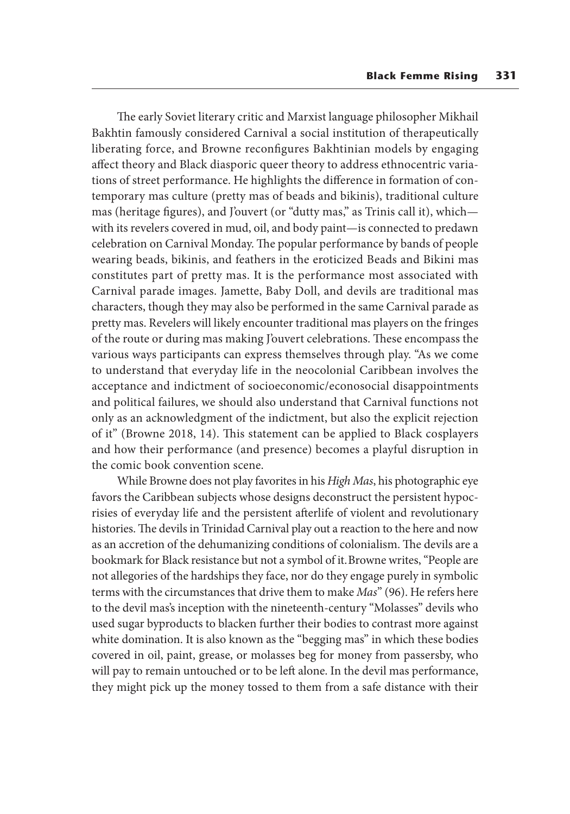The early Soviet literary critic and Marxist language philosopher Mikhail Bakhtin famously considered Carnival a social institution of therapeutically liberating force, and Browne reconfigures Bakhtinian models by engaging affect theory and Black diasporic queer theory to address ethnocentric variations of street performance. He highlights the difference in formation of contemporary mas culture (pretty mas of beads and bikinis), traditional culture mas (heritage figures), and J'ouvert (or "dutty mas," as Trinis call it), which with its revelers covered in mud, oil, and body paint—is connected to predawn celebration on Carnival Monday. The popular performance by bands of people wearing beads, bikinis, and feathers in the eroticized Beads and Bikini mas constitutes part of pretty mas. It is the performance most associated with Carnival parade images. Jamette, Baby Doll, and devils are traditional mas characters, though they may also be performed in the same Carnival parade as pretty mas. Revelers will likely encounter traditional mas players on the fringes of the route or during mas making J'ouvert celebrations. These encompass the various ways participants can express themselves through play. "As we come to understand that everyday life in the neocolonial Caribbean involves the acceptance and indictment of socioeconomic/econosocial disappointments and political failures, we should also understand that Carnival functions not only as an acknowledgment of the indictment, but also the explicit rejection of it" (Browne 2018, 14). This statement can be applied to Black cosplayers and how their performance (and presence) becomes a playful disruption in the comic book convention scene.

While Browne does not play favorites in his *High Mas*, his photographic eye favors the Caribbean subjects whose designs deconstruct the persistent hypocrisies of everyday life and the persistent afterlife of violent and revolutionary histories. The devils in Trinidad Carnival play out a reaction to the here and now as an accretion of the dehumanizing conditions of colonialism. The devils are a bookmark for Black resistance but not a symbol of it. Browne writes, "People are not allegories of the hardships they face, nor do they engage purely in symbolic terms with the circumstances that drive them to make *Mas*" (96). He refers here to the devil mas's inception with the nineteenth-century "Molasses" devils who used sugar byproducts to blacken further their bodies to contrast more against white domination. It is also known as the "begging mas" in which these bodies covered in oil, paint, grease, or molasses beg for money from passersby, who will pay to remain untouched or to be left alone. In the devil mas performance, they might pick up the money tossed to them from a safe distance with their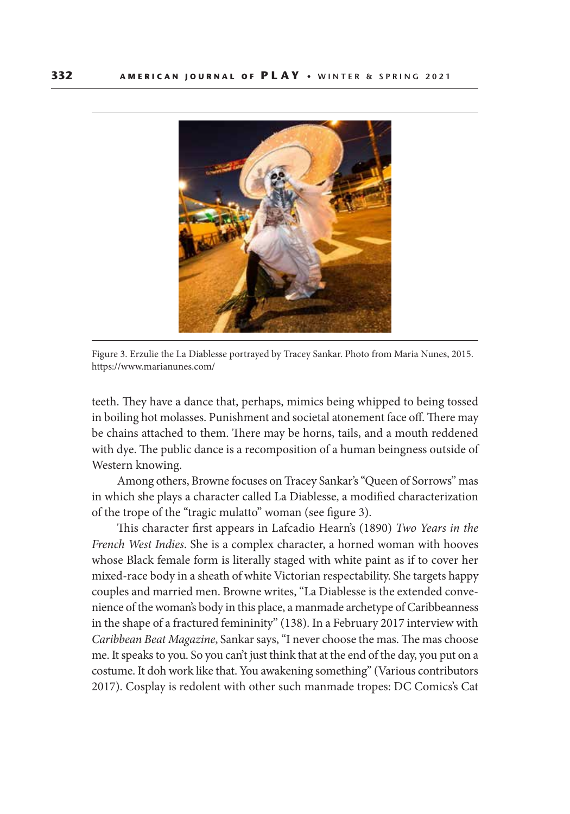

Figure 3. Erzulie the La Diablesse portrayed by Tracey Sankar. Photo from Maria Nunes, 2015. https://www.marianunes.com/

teeth. They have a dance that, perhaps, mimics being whipped to being tossed in boiling hot molasses. Punishment and societal atonement face off. There may be chains attached to them. There may be horns, tails, and a mouth reddened with dye. The public dance is a recomposition of a human beingness outside of Western knowing.

Among others, Browne focuses on Tracey Sankar's "Queen of Sorrows" mas in which she plays a character called La Diablesse, a modified characterization of the trope of the "tragic mulatto" woman (see figure 3).

This character first appears in Lafcadio Hearn's (1890) *Two Years in the French West Indies*. She is a complex character, a horned woman with hooves whose Black female form is literally staged with white paint as if to cover her mixed-race body in a sheath of white Victorian respectability. She targets happy couples and married men. Browne writes, "La Diablesse is the extended convenience of the woman's body in this place, a manmade archetype of Caribbeanness in the shape of a fractured femininity" (138). In a February 2017 interview with *Caribbean Beat Magazine*, Sankar says, "I never choose the mas. The mas choose me. It speaks to you. So you can't just think that at the end of the day, you put on a costume. It doh work like that. You awakening something" (Various contributors 2017). Cosplay is redolent with other such manmade tropes: DC Comics's Cat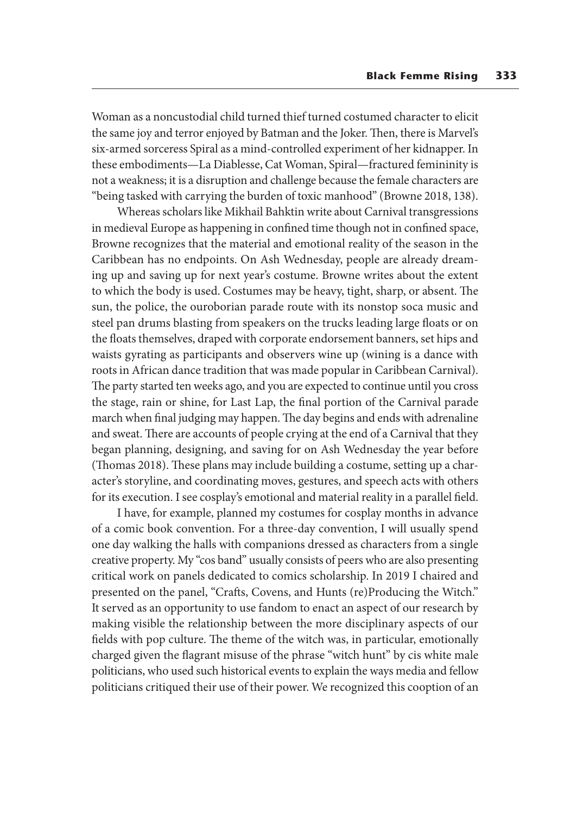Woman as a noncustodial child turned thief turned costumed character to elicit the same joy and terror enjoyed by Batman and the Joker. Then, there is Marvel's six-armed sorceress Spiral as a mind-controlled experiment of her kidnapper. In these embodiments—La Diablesse, Cat Woman, Spiral—fractured femininity is not a weakness; it is a disruption and challenge because the female characters are "being tasked with carrying the burden of toxic manhood" (Browne 2018, 138).

Whereas scholars like Mikhail Bahktin write about Carnival transgressions in medieval Europe as happening in confined time though not in confined space, Browne recognizes that the material and emotional reality of the season in the Caribbean has no endpoints. On Ash Wednesday, people are already dreaming up and saving up for next year's costume. Browne writes about the extent to which the body is used. Costumes may be heavy, tight, sharp, or absent. The sun, the police, the ouroborian parade route with its nonstop soca music and steel pan drums blasting from speakers on the trucks leading large floats or on the floats themselves, draped with corporate endorsement banners, set hips and waists gyrating as participants and observers wine up (wining is a dance with roots in African dance tradition that was made popular in Caribbean Carnival). The party started ten weeks ago, and you are expected to continue until you cross the stage, rain or shine, for Last Lap, the final portion of the Carnival parade march when final judging may happen. The day begins and ends with adrenaline and sweat. There are accounts of people crying at the end of a Carnival that they began planning, designing, and saving for on Ash Wednesday the year before (Thomas 2018). These plans may include building a costume, setting up a character's storyline, and coordinating moves, gestures, and speech acts with others for its execution. I see cosplay's emotional and material reality in a parallel field.

I have, for example, planned my costumes for cosplay months in advance of a comic book convention. For a three-day convention, I will usually spend one day walking the halls with companions dressed as characters from a single creative property. My "cos band" usually consists of peers who are also presenting critical work on panels dedicated to comics scholarship. In 2019 I chaired and presented on the panel, "Crafts, Covens, and Hunts (re)Producing the Witch." It served as an opportunity to use fandom to enact an aspect of our research by making visible the relationship between the more disciplinary aspects of our fields with pop culture. The theme of the witch was, in particular, emotionally charged given the flagrant misuse of the phrase "witch hunt" by cis white male politicians, who used such historical events to explain the ways media and fellow politicians critiqued their use of their power. We recognized this cooption of an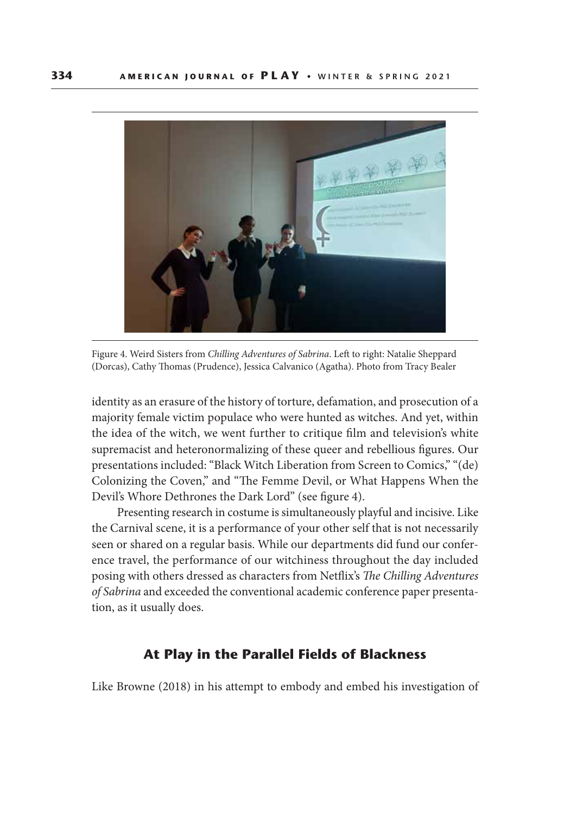

Figure 4. Weird Sisters from *Chilling Adventures of Sabrina*. Left to right: Natalie Sheppard (Dorcas), Cathy Thomas (Prudence), Jessica Calvanico (Agatha). Photo from Tracy Bealer

identity as an erasure of the history of torture, defamation, and prosecution of a majority female victim populace who were hunted as witches. And yet, within the idea of the witch, we went further to critique film and television's white supremacist and heteronormalizing of these queer and rebellious figures. Our presentations included: "Black Witch Liberation from Screen to Comics," "(de) Colonizing the Coven," and "The Femme Devil, or What Happens When the Devil's Whore Dethrones the Dark Lord" (see figure 4).

Presenting research in costume is simultaneously playful and incisive. Like the Carnival scene, it is a performance of your other self that is not necessarily seen or shared on a regular basis. While our departments did fund our conference travel, the performance of our witchiness throughout the day included posing with others dressed as characters from Netflix's *The Chilling Adventures of Sabrina* and exceeded the conventional academic conference paper presentation, as it usually does.

## **At Play in the Parallel Fields of Blackness**

Like Browne (2018) in his attempt to embody and embed his investigation of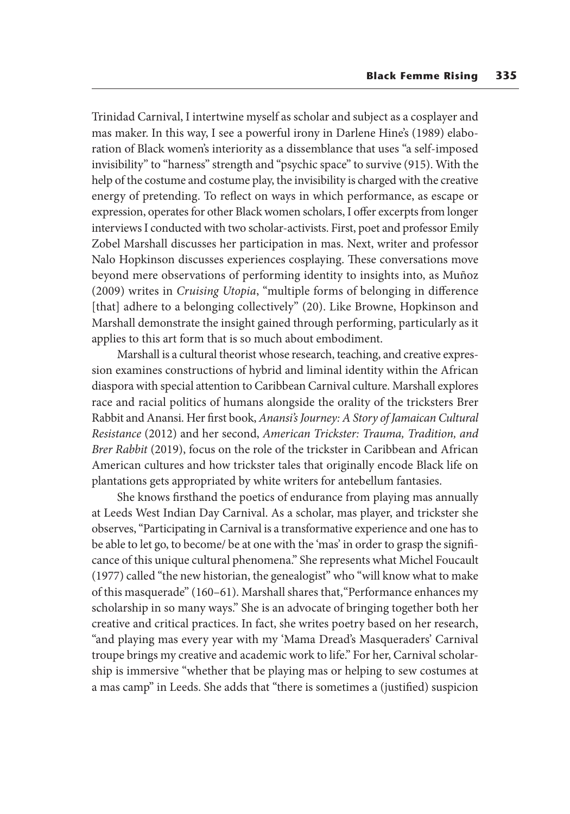Trinidad Carnival, I intertwine myself as scholar and subject as a cosplayer and mas maker. In this way, I see a powerful irony in Darlene Hine's (1989) elaboration of Black women's interiority as a dissemblance that uses "a self-imposed invisibility" to "harness" strength and "psychic space" to survive (915). With the help of the costume and costume play, the invisibility is charged with the creative energy of pretending. To reflect on ways in which performance, as escape or expression, operates for other Black women scholars, I offer excerpts from longer interviews I conducted with two scholar-activists. First, poet and professor Emily Zobel Marshall discusses her participation in mas. Next, writer and professor Nalo Hopkinson discusses experiences cosplaying. These conversations move beyond mere observations of performing identity to insights into, as Muñoz (2009) writes in *Cruising Utopia*, "multiple forms of belonging in difference [that] adhere to a belonging collectively" (20). Like Browne, Hopkinson and Marshall demonstrate the insight gained through performing, particularly as it applies to this art form that is so much about embodiment.

Marshall is a cultural theorist whose research, teaching, and creative expression examines constructions of hybrid and liminal identity within the African diaspora with special attention to Caribbean Carnival culture. Marshall explores race and racial politics of humans alongside the orality of the tricksters Brer Rabbit and Anansi. Her first book, *Anansi's Journey: A Story of Jamaican Cultural Resistance* (2012) and her second, *American Trickster: Trauma, Tradition, and Brer Rabbit* (2019), focus on the role of the trickster in Caribbean and African American cultures and how trickster tales that originally encode Black life on plantations gets appropriated by white writers for antebellum fantasies.

She knows firsthand the poetics of endurance from playing mas annually at Leeds West Indian Day Carnival. As a scholar, mas player, and trickster she observes, "Participating in Carnival is a transformative experience and one has to be able to let go, to become/ be at one with the 'mas' in order to grasp the significance of this unique cultural phenomena." She represents what Michel Foucault (1977) called "the new historian, the genealogist" who "will know what to make of this masquerade" (160–61). Marshall shares that, "Performance enhances my scholarship in so many ways." She is an advocate of bringing together both her creative and critical practices. In fact, she writes poetry based on her research, "and playing mas every year with my 'Mama Dread's Masqueraders' Carnival troupe brings my creative and academic work to life." For her, Carnival scholarship is immersive "whether that be playing mas or helping to sew costumes at a mas camp" in Leeds. She adds that "there is sometimes a (justified) suspicion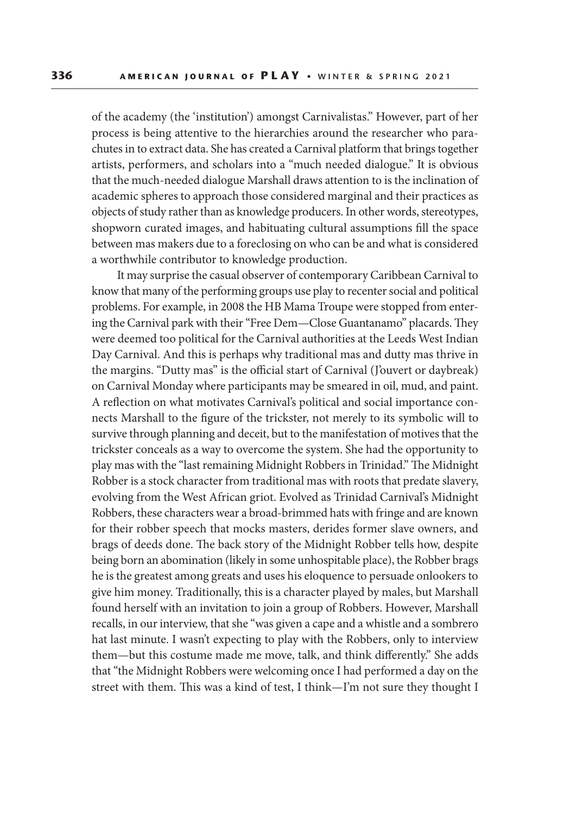of the academy (the 'institution') amongst Carnivalistas." However, part of her process is being attentive to the hierarchies around the researcher who parachutes in to extract data. She has created a Carnival platform that brings together artists, performers, and scholars into a "much needed dialogue." It is obvious that the much-needed dialogue Marshall draws attention to is the inclination of academic spheres to approach those considered marginal and their practices as objects of study rather than as knowledge producers. In other words, stereotypes, shopworn curated images, and habituating cultural assumptions fill the space between mas makers due to a foreclosing on who can be and what is considered a worthwhile contributor to knowledge production.

It may surprise the casual observer of contemporary Caribbean Carnival to know that many of the performing groups use play to recenter social and political problems. For example, in 2008 the HB Mama Troupe were stopped from entering the Carnival park with their "Free Dem—Close Guantanamo" placards. They were deemed too political for the Carnival authorities at the Leeds West Indian Day Carnival. And this is perhaps why traditional mas and dutty mas thrive in the margins. "Dutty mas" is the official start of Carnival (J'ouvert or daybreak) on Carnival Monday where participants may be smeared in oil, mud, and paint. A reflection on what motivates Carnival's political and social importance connects Marshall to the figure of the trickster, not merely to its symbolic will to survive through planning and deceit, but to the manifestation of motives that the trickster conceals as a way to overcome the system. She had the opportunity to play mas with the "last remaining Midnight Robbers in Trinidad." The Midnight Robber is a stock character from traditional mas with roots that predate slavery, evolving from the West African griot. Evolved as Trinidad Carnival's Midnight Robbers, these characters wear a broad-brimmed hats with fringe and are known for their robber speech that mocks masters, derides former slave owners, and brags of deeds done. The back story of the Midnight Robber tells how, despite being born an abomination (likely in some unhospitable place), the Robber brags he is the greatest among greats and uses his eloquence to persuade onlookers to give him money. Traditionally, this is a character played by males, but Marshall found herself with an invitation to join a group of Robbers. However, Marshall recalls, in our interview, that she "was given a cape and a whistle and a sombrero hat last minute. I wasn't expecting to play with the Robbers, only to interview them—but this costume made me move, talk, and think differently." She adds that "the Midnight Robbers were welcoming once I had performed a day on the street with them. This was a kind of test, I think—I'm not sure they thought I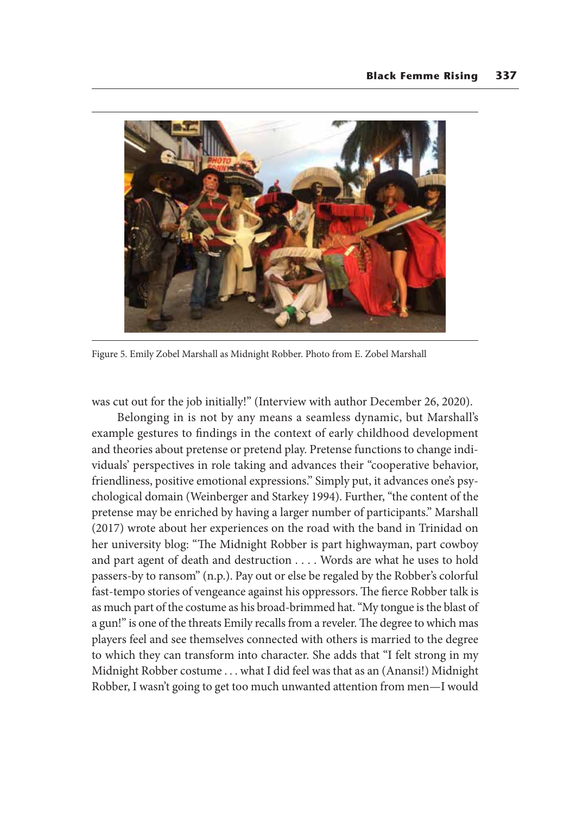

Figure 5. Emily Zobel Marshall as Midnight Robber. Photo from E. Zobel Marshall

was cut out for the job initially!" (Interview with author December 26, 2020).

Belonging in is not by any means a seamless dynamic, but Marshall's example gestures to findings in the context of early childhood development and theories about pretense or pretend play. Pretense functions to change individuals' perspectives in role taking and advances their "cooperative behavior, friendliness, positive emotional expressions." Simply put, it advances one's psychological domain (Weinberger and Starkey 1994). Further, "the content of the pretense may be enriched by having a larger number of participants." Marshall (2017) wrote about her experiences on the road with the band in Trinidad on her university blog: "The Midnight Robber is part highwayman, part cowboy and part agent of death and destruction . . . . Words are what he uses to hold passers-by to ransom" (n.p.). Pay out or else be regaled by the Robber's colorful fast-tempo stories of vengeance against his oppressors. The fierce Robber talk is as much part of the costume as his broad-brimmed hat. "My tongue is the blast of a gun!" is one of the threats Emily recalls from a reveler. The degree to which mas players feel and see themselves connected with others is married to the degree to which they can transform into character. She adds that "I felt strong in my Midnight Robber costume . . . what I did feel was that as an (Anansi!) Midnight Robber, I wasn't going to get too much unwanted attention from men—I would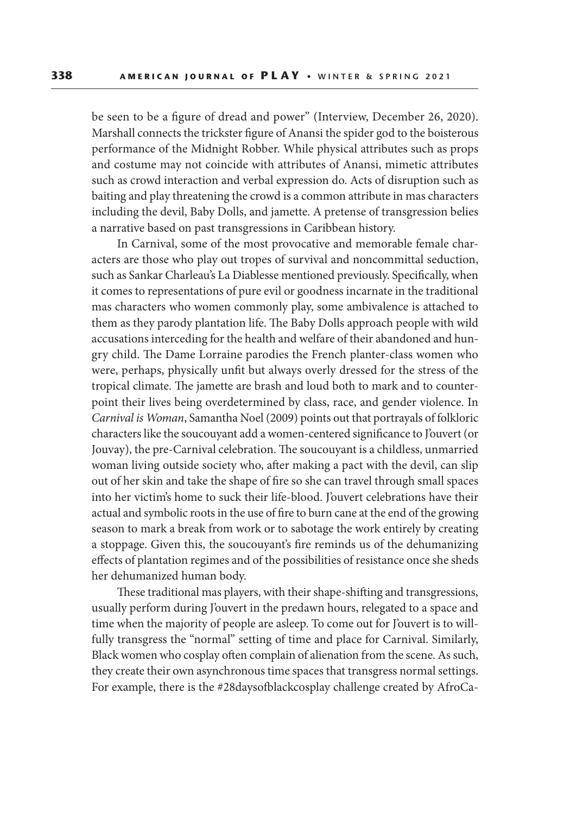be seen to be a figure of dread and power" (Interview, December 26, 2020). Marshall connects the trickster figure of Anansi the spider god to the boisterous performance of the Midnight Robber. While physical attributes such as props and costume may not coincide with attributes of Anansi, mimetic attributes such as crowd interaction and verbal expression do. Acts of disruption such as baiting and play threatening the crowd is a common attribute in mas characters including the devil, Baby Dolls, and jamette. A pretense of transgression belies a narrative based on past transgressions in Caribbean history.

In Carnival, some of the most provocative and memorable female characters are those who play out tropes of survival and noncommittal seduction, such as Sankar Charleau's La Diablesse mentioned previously. Specifically, when it comes to representations of pure evil or goodness incarnate in the traditional mas characters who women commonly play, some ambivalence is attached to them as they parody plantation life. The Baby Dolls approach people with wild accusations interceding for the health and welfare of their abandoned and hungry child. The Dame Lorraine parodies the French planter-class women who were, perhaps, physically unfit but always overly dressed for the stress of the tropical climate. The jamette are brash and loud both to mark and to counterpoint their lives being overdetermined by class, race, and gender violence. In *Carnival is Woman*, Samantha Noel (2009) points out that portrayals of folkloric characters like the soucouyant add a women-centered significance to J'ouvert (or Jouvay), the pre-Carnival celebration. The soucouyant is a childless, unmarried woman living outside society who, after making a pact with the devil, can slip out of her skin and take the shape of fire so she can travel through small spaces into her victim's home to suck their life-blood. J'ouvert celebrations have their actual and symbolic roots in the use of fire to burn cane at the end of the growing season to mark a break from work or to sabotage the work entirely by creating a stoppage. Given this, the soucouyant's fire reminds us of the dehumanizing effects of plantation regimes and of the possibilities of resistance once she sheds her dehumanized human body.

These traditional mas players, with their shape-shifting and transgressions, usually perform during J'ouvert in the predawn hours, relegated to a space and time when the majority of people are asleep. To come out for J'ouvert is to willfully transgress the "normal" setting of time and place for Carnival. Similarly, Black women who cosplay often complain of alienation from the scene. As such, they create their own asynchronous time spaces that transgress normal settings. For example, there is the #28daysofblackcosplay challenge created by AfroCa-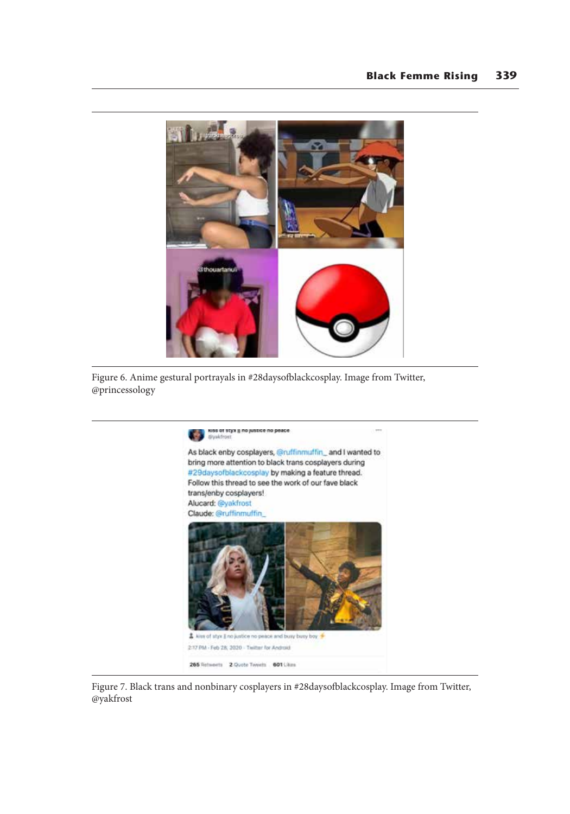

Figure 6. Anime gestural portrayals in #28daysofblackcosplay. Image from Twitter, @princessology



Figure 7. Black trans and nonbinary cosplayers in #28daysofblackcosplay. Image from Twitter, @yakfrost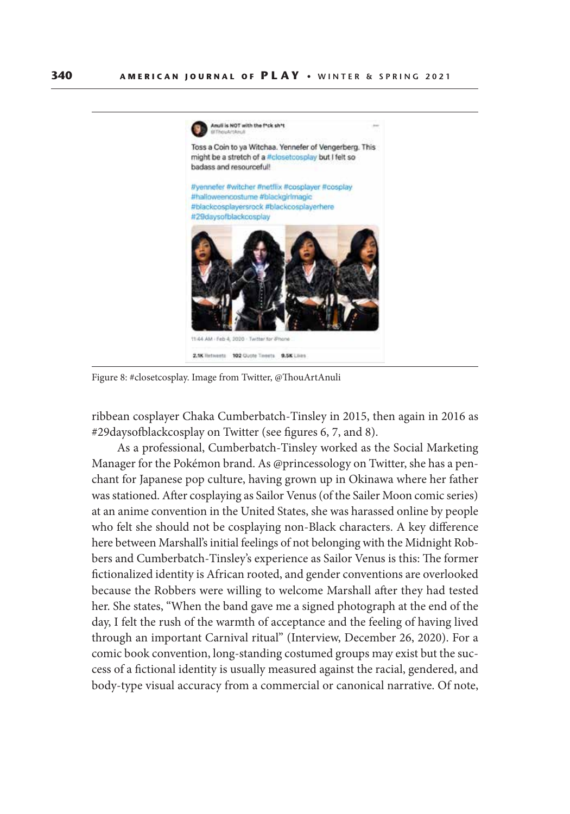

Figure 8: #closetcosplay. Image from Twitter, @ThouArtAnuli

ribbean cosplayer Chaka Cumberbatch-Tinsley in 2015, then again in 2016 as #29daysofblackcosplay on Twitter (see figures 6, 7, and 8).

As a professional, Cumberbatch-Tinsley worked as the Social Marketing Manager for the Pokémon brand. As @princessology on Twitter, she has a penchant for Japanese pop culture, having grown up in Okinawa where her father was stationed. After cosplaying as Sailor Venus (of the Sailer Moon comic series) at an anime convention in the United States, she was harassed online by people who felt she should not be cosplaying non-Black characters. A key difference here between Marshall's initial feelings of not belonging with the Midnight Robbers and Cumberbatch-Tinsley's experience as Sailor Venus is this: The former fictionalized identity is African rooted, and gender conventions are overlooked because the Robbers were willing to welcome Marshall after they had tested her. She states, "When the band gave me a signed photograph at the end of the day, I felt the rush of the warmth of acceptance and the feeling of having lived through an important Carnival ritual" (Interview, December 26, 2020). For a comic book convention, long-standing costumed groups may exist but the success of a fictional identity is usually measured against the racial, gendered, and body-type visual accuracy from a commercial or canonical narrative. Of note,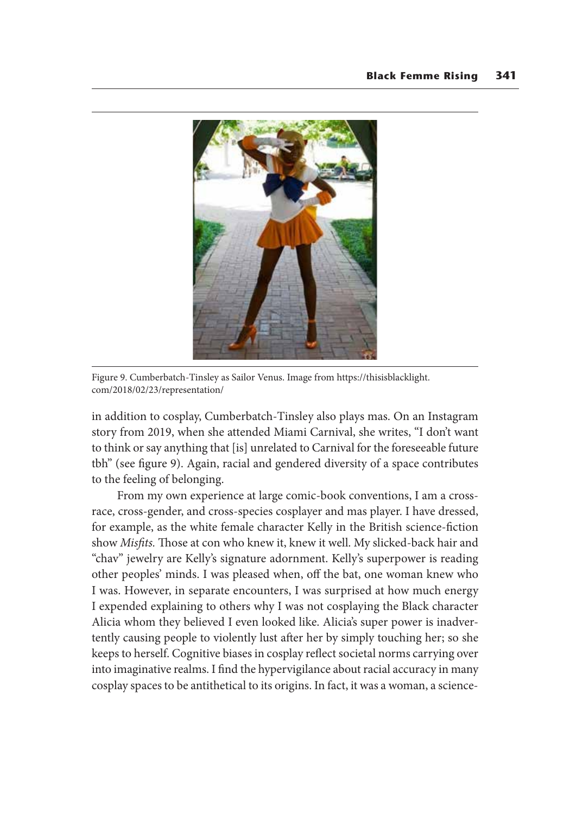

Figure 9. Cumberbatch-Tinsley as Sailor Venus. Image from https://thisisblacklight. com/2018/02/23/representation/

in addition to cosplay, Cumberbatch-Tinsley also plays mas. On an Instagram story from 2019, when she attended Miami Carnival, she writes, "I don't want to think or say anything that [is] unrelated to Carnival for the foreseeable future tbh" (see figure 9). Again, racial and gendered diversity of a space contributes to the feeling of belonging.

From my own experience at large comic-book conventions, I am a crossrace, cross-gender, and cross-species cosplayer and mas player. I have dressed, for example, as the white female character Kelly in the British science-fiction show *Misfits.* Those at con who knew it, knew it well. My slicked-back hair and "chav" jewelry are Kelly's signature adornment. Kelly's superpower is reading other peoples' minds. I was pleased when, off the bat, one woman knew who I was. However, in separate encounters, I was surprised at how much energy I expended explaining to others why I was not cosplaying the Black character Alicia whom they believed I even looked like. Alicia's super power is inadvertently causing people to violently lust after her by simply touching her; so she keeps to herself. Cognitive biases in cosplay reflect societal norms carrying over into imaginative realms. I find the hypervigilance about racial accuracy in many cosplay spaces to be antithetical to its origins. In fact, it was a woman, a science-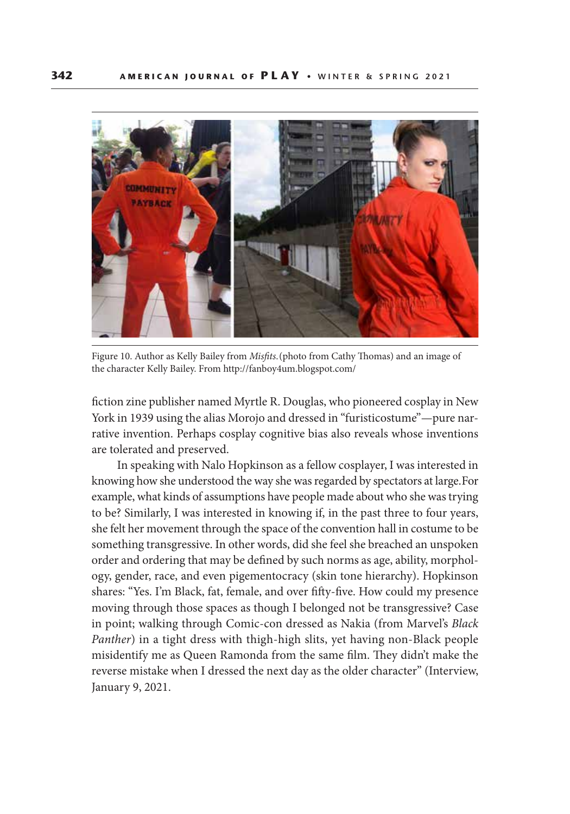

Figure 10. Author as Kelly Bailey from *Misfits*. (photo from Cathy Thomas) and an image of the character Kelly Bailey. From http://fanboy4um.blogspot.com/

fiction zine publisher named Myrtle R. Douglas, who pioneered cosplay in New York in 1939 using the alias Morojo and dressed in "furisticostume"—pure narrative invention. Perhaps cosplay cognitive bias also reveals whose inventions are tolerated and preserved.

In speaking with Nalo Hopkinson as a fellow cosplayer, I was interested in knowing how she understood the way she was regarded by spectators at large. For example, what kinds of assumptions have people made about who she was trying to be? Similarly, I was interested in knowing if, in the past three to four years, she felt her movement through the space of the convention hall in costume to be something transgressive. In other words, did she feel she breached an unspoken order and ordering that may be defined by such norms as age, ability, morphology, gender, race, and even pigementocracy (skin tone hierarchy). Hopkinson shares: "Yes. I'm Black, fat, female, and over fifty-five. How could my presence moving through those spaces as though I belonged not be transgressive? Case in point; walking through Comic-con dressed as Nakia (from Marvel's *Black Panther*) in a tight dress with thigh-high slits, yet having non-Black people misidentify me as Queen Ramonda from the same film. They didn't make the reverse mistake when I dressed the next day as the older character" (Interview, January 9, 2021.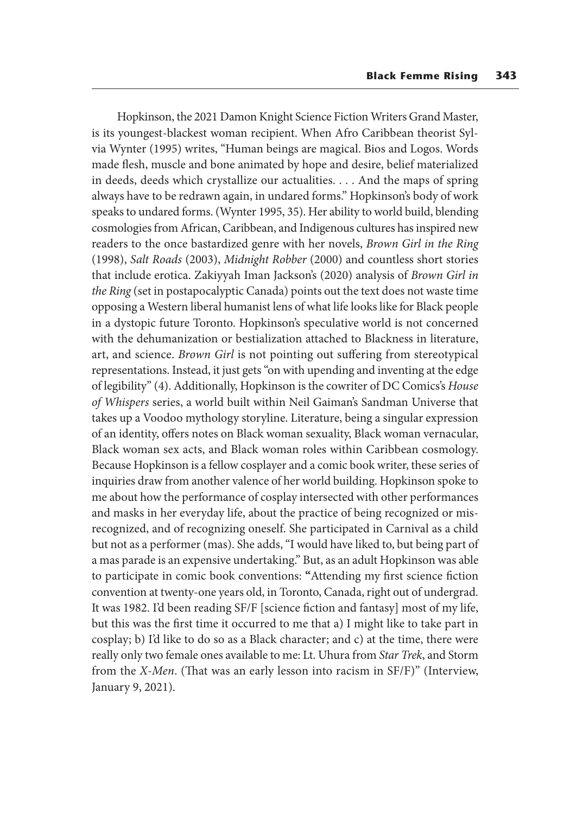Hopkinson, the 2021 Damon Knight Science Fiction Writers Grand Master, is its youngest-blackest woman recipient. When Afro Caribbean theorist Sylvia Wynter (1995) writes, "Human beings are magical. Bios and Logos. Words made flesh, muscle and bone animated by hope and desire, belief materialized in deeds, deeds which crystallize our actualities. . . . And the maps of spring always have to be redrawn again, in undared forms." Hopkinson's body of work speaks to undared forms. (Wynter 1995, 35). Her ability to world build, blending cosmologies from African, Caribbean, and Indigenous cultures has inspired new readers to the once bastardized genre with her novels, *Brown Girl in the Ring*  (1998), *Salt Roads* (2003), *Midnight Robber* (2000) and countless short stories that include erotica. Zakiyyah Iman Jackson's (2020) analysis of *Brown Girl in the Ring* (set in postapocalyptic Canada) points out the text does not waste time opposing a Western liberal humanist lens of what life looks like for Black people in a dystopic future Toronto. Hopkinson's speculative world is not concerned with the dehumanization or bestialization attached to Blackness in literature, art, and science. *Brown Girl* is not pointing out suffering from stereotypical representations. Instead, it just gets "on with upending and inventing at the edge of legibility" (4). Additionally, Hopkinson is the cowriter of DC Comics's *House of Whispers* series, a world built within Neil Gaiman's Sandman Universe that takes up a Voodoo mythology storyline. Literature, being a singular expression of an identity, offers notes on Black woman sexuality, Black woman vernacular, Black woman sex acts, and Black woman roles within Caribbean cosmology. Because Hopkinson is a fellow cosplayer and a comic book writer, these series of inquiries draw from another valence of her world building. Hopkinson spoke to me about how the performance of cosplay intersected with other performances and masks in her everyday life, about the practice of being recognized or misrecognized, and of recognizing oneself. She participated in Carnival as a child but not as a performer (mas). She adds, "I would have liked to, but being part of a mas parade is an expensive undertaking." But, as an adult Hopkinson was able to participate in comic book conventions: **"**Attending my first science fiction convention at twenty-one years old, in Toronto, Canada, right out of undergrad. It was 1982. I'd been reading SF/F [science fiction and fantasy] most of my life, but this was the first time it occurred to me that a) I might like to take part in cosplay; b) I'd like to do so as a Black character; and c) at the time, there were really only two female ones available to me: Lt. Uhura from *Star Trek*, and Storm from the *X-Men*. (That was an early lesson into racism in SF/F)" (Interview, January 9, 2021).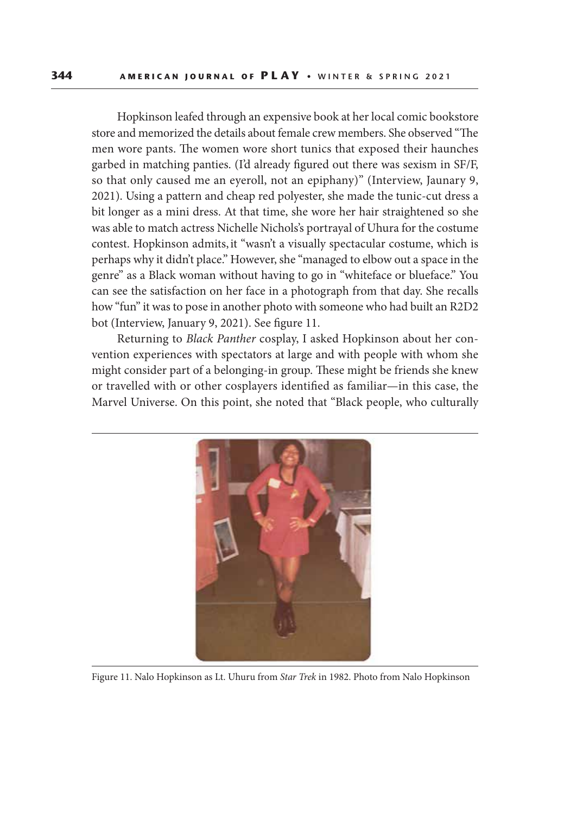Hopkinson leafed through an expensive book at her local comic bookstore store and memorized the details about female crew members. She observed "The men wore pants. The women wore short tunics that exposed their haunches garbed in matching panties. (I'd already figured out there was sexism in SF/F, so that only caused me an eyeroll, not an epiphany)" (Interview, Jaunary 9, 2021). Using a pattern and cheap red polyester, she made the tunic-cut dress a bit longer as a mini dress. At that time, she wore her hair straightened so she was able to match actress Nichelle Nichols's portrayal of Uhura for the costume contest. Hopkinson admits, it "wasn't a visually spectacular costume, which is perhaps why it didn't place." However, she "managed to elbow out a space in the genre" as a Black woman without having to go in "whiteface or blueface." You can see the satisfaction on her face in a photograph from that day. She recalls how "fun" it was to pose in another photo with someone who had built an R2D2 bot (Interview, January 9, 2021). See figure 11.

Returning to *Black Panther* cosplay, I asked Hopkinson about her convention experiences with spectators at large and with people with whom she might consider part of a belonging-in group. These might be friends she knew or travelled with or other cosplayers identified as familiar—in this case, the Marvel Universe. On this point, she noted that "Black people, who culturally



Figure 11. Nalo Hopkinson as Lt. Uhuru from *Star Trek* in 1982. Photo from Nalo Hopkinson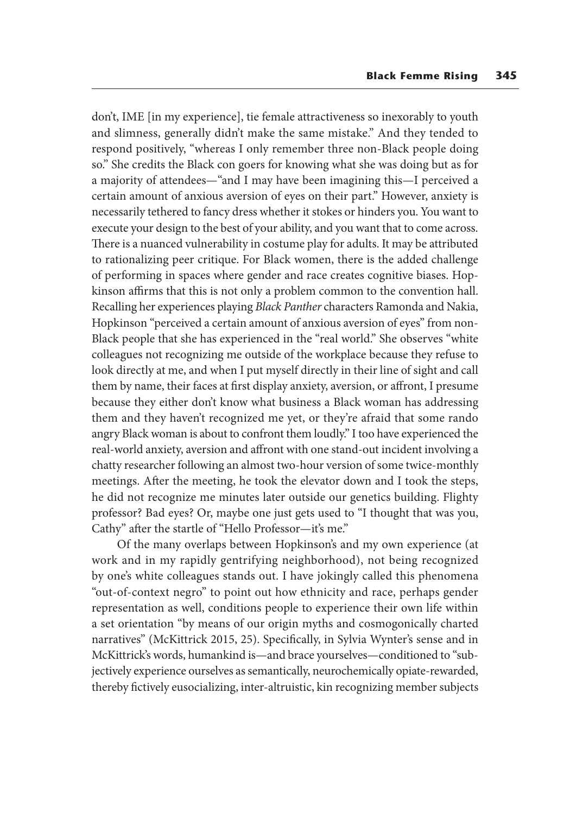don't, IME [in my experience], tie female attractiveness so inexorably to youth and slimness, generally didn't make the same mistake." And they tended to respond positively, "whereas I only remember three non-Black people doing so." She credits the Black con goers for knowing what she was doing but as for a majority of attendees—"and I may have been imagining this—I perceived a certain amount of anxious aversion of eyes on their part." However, anxiety is necessarily tethered to fancy dress whether it stokes or hinders you. You want to execute your design to the best of your ability, and you want that to come across. There is a nuanced vulnerability in costume play for adults. It may be attributed to rationalizing peer critique. For Black women, there is the added challenge of performing in spaces where gender and race creates cognitive biases. Hopkinson affirms that this is not only a problem common to the convention hall. Recalling her experiences playing *Black Panther* characters Ramonda and Nakia, Hopkinson "perceived a certain amount of anxious aversion of eyes" from non-Black people that she has experienced in the "real world." She observes "white colleagues not recognizing me outside of the workplace because they refuse to look directly at me, and when I put myself directly in their line of sight and call them by name, their faces at first display anxiety, aversion, or affront, I presume because they either don't know what business a Black woman has addressing them and they haven't recognized me yet, or they're afraid that some rando angry Black woman is about to confront them loudly." I too have experienced the real-world anxiety, aversion and affront with one stand-out incident involving a chatty researcher following an almost two-hour version of some twice-monthly meetings. After the meeting, he took the elevator down and I took the steps, he did not recognize me minutes later outside our genetics building. Flighty professor? Bad eyes? Or, maybe one just gets used to "I thought that was you, Cathy" after the startle of "Hello Professor—it's me."

Of the many overlaps between Hopkinson's and my own experience (at work and in my rapidly gentrifying neighborhood), not being recognized by one's white colleagues stands out. I have jokingly called this phenomena "out-of-context negro" to point out how ethnicity and race, perhaps gender representation as well, conditions people to experience their own life within a set orientation "by means of our origin myths and cosmogonically charted narratives" (McKittrick 2015, 25). Specifically, in Sylvia Wynter's sense and in McKittrick's words, humankind is—and brace yourselves—conditioned to "subjectively experience ourselves as semantically, neurochemically opiate-rewarded, thereby fictively eusocializing, inter-altruistic, kin recognizing member subjects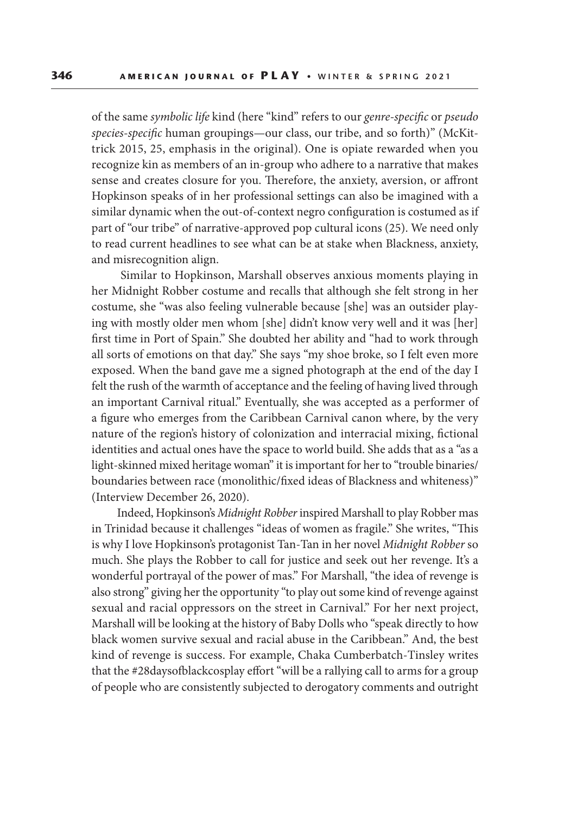of the same *symbolic life* kind (here "kind" refers to our *genre-specific* or *pseudo species-specific* human groupings—our class, our tribe, and so forth)" (McKittrick 2015, 25, emphasis in the original). One is opiate rewarded when you recognize kin as members of an in-group who adhere to a narrative that makes sense and creates closure for you. Therefore, the anxiety, aversion, or affront Hopkinson speaks of in her professional settings can also be imagined with a similar dynamic when the out-of-context negro configuration is costumed as if part of "our tribe" of narrative-approved pop cultural icons (25). We need only to read current headlines to see what can be at stake when Blackness, anxiety, and misrecognition align.

 Similar to Hopkinson, Marshall observes anxious moments playing in her Midnight Robber costume and recalls that although she felt strong in her costume, she "was also feeling vulnerable because [she] was an outsider playing with mostly older men whom [she] didn't know very well and it was [her] first time in Port of Spain." She doubted her ability and "had to work through all sorts of emotions on that day." She says "my shoe broke, so I felt even more exposed. When the band gave me a signed photograph at the end of the day I felt the rush of the warmth of acceptance and the feeling of having lived through an important Carnival ritual." Eventually, she was accepted as a performer of a figure who emerges from the Caribbean Carnival canon where, by the very nature of the region's history of colonization and interracial mixing, fictional identities and actual ones have the space to world build. She adds that as a "as a light-skinned mixed heritage woman" it is important for her to "trouble binaries/ boundaries between race (monolithic/fixed ideas of Blackness and whiteness)" (Interview December 26, 2020).

Indeed, Hopkinson's *Midnight Robber* inspired Marshall to play Robber mas in Trinidad because it challenges "ideas of women as fragile." She writes, "This is why I love Hopkinson's protagonist Tan-Tan in her novel *Midnight Robber* so much. She plays the Robber to call for justice and seek out her revenge. It's a wonderful portrayal of the power of mas." For Marshall, "the idea of revenge is also strong" giving her the opportunity "to play out some kind of revenge against sexual and racial oppressors on the street in Carnival." For her next project, Marshall will be looking at the history of Baby Dolls who "speak directly to how black women survive sexual and racial abuse in the Caribbean." And, the best kind of revenge is success. For example, Chaka Cumberbatch-Tinsley writes that the #28daysofblackcosplay effort "will be a rallying call to arms for a group of people who are consistently subjected to derogatory comments and outright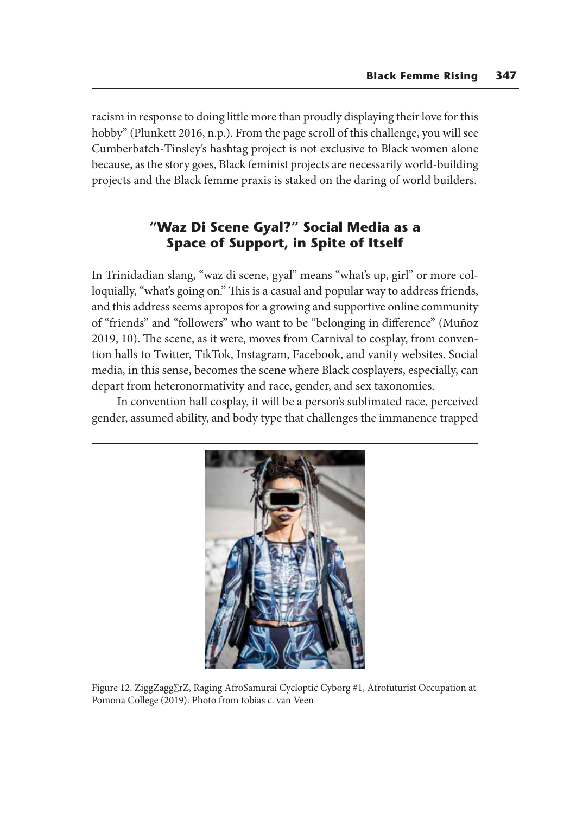racism in response to doing little more than proudly displaying their love for this hobby" (Plunkett 2016, n.p.). From the page scroll of this challenge, you will see Cumberbatch-Tinsley's hashtag project is not exclusive to Black women alone because, as the story goes, Black feminist projects are necessarily world-building projects and the Black femme praxis is staked on the daring of world builders.

## **"Waz Di Scene Gyal?" Social Media as a Space of Support, in Spite of Itself**

In Trinidadian slang, "waz di scene, gyal" means "what's up, girl" or more colloquially, "what's going on." This is a casual and popular way to address friends, and this address seems apropos for a growing and supportive online community of "friends" and "followers" who want to be "belonging in difference" (Muñoz 2019, 10). The scene, as it were, moves from Carnival to cosplay, from convention halls to Twitter, TikTok, Instagram, Facebook, and vanity websites. Social media, in this sense, becomes the scene where Black cosplayers, especially, can depart from heteronormativity and race, gender, and sex taxonomies.

In convention hall cosplay, it will be a person's sublimated race, perceived gender, assumed ability, and body type that challenges the immanence trapped



Figure 12. ZiggZagg∑rZ, Raging AfroSamurai Cycloptic Cyborg #1, Afrofuturist Occupation at Pomona College (2019). Photo from tobias c. van Veen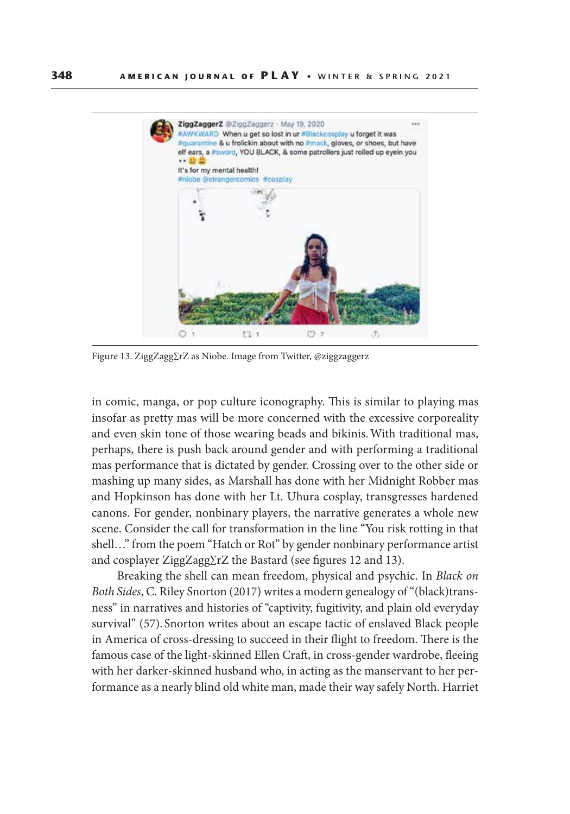

Figure 13. ZiggZagg∑rZ as Niobe. Image from Twitter, @ziggzaggerz

in comic, manga, or pop culture iconography. This is similar to playing mas insofar as pretty mas will be more concerned with the excessive corporeality and even skin tone of those wearing beads and bikinis. With traditional mas, perhaps, there is push back around gender and with performing a traditional mas performance that is dictated by gender. Crossing over to the other side or mashing up many sides, as Marshall has done with her Midnight Robber mas and Hopkinson has done with her Lt. Uhura cosplay, transgresses hardened canons. For gender, nonbinary players, the narrative generates a whole new scene. Consider the call for transformation in the line "You risk rotting in that shell…" from the poem "Hatch or Rot" by gender nonbinary performance artist and cosplayer ZiggZagg∑rZ the Bastard (see figures 12 and 13).

Breaking the shell can mean freedom, physical and psychic. In *Black on Both Sides*, C. Riley Snorton (2017) writes a modern genealogy of "(black)transness" in narratives and histories of "captivity, fugitivity, and plain old everyday survival" (57). Snorton writes about an escape tactic of enslaved Black people in America of cross-dressing to succeed in their flight to freedom. There is the famous case of the light-skinned Ellen Craft, in cross-gender wardrobe, fleeing with her darker-skinned husband who, in acting as the manservant to her performance as a nearly blind old white man, made their way safely North. Harriet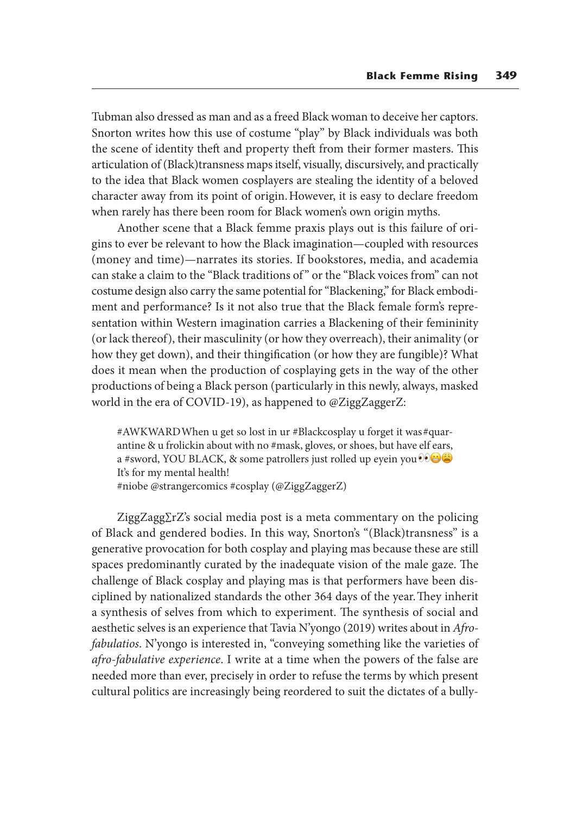Tubman also dressed as man and as a freed Black woman to deceive her captors. Snorton writes how this use of costume "play" by Black individuals was both the scene of identity theft and property theft from their former masters. This articulation of (Black)transness maps itself, visually, discursively, and practically to the idea that Black women cosplayers are stealing the identity of a beloved character away from its point of origin. However, it is easy to declare freedom when rarely has there been room for Black women's own origin myths.

Another scene that a Black femme praxis plays out is this failure of origins to ever be relevant to how the Black imagination—coupled with resources (money and time)—narrates its stories. If bookstores, media, and academia can stake a claim to the "Black traditions of " or the "Black voices from" can not costume design also carry the same potential for "Blackening," for Black embodiment and performance? Is it not also true that the Black female form's representation within Western imagination carries a Blackening of their femininity (or lack thereof), their masculinity (or how they overreach), their animality (or how they get down), and their thingification (or how they are fungible)? What does it mean when the production of cosplaying gets in the way of the other productions of being a Black person (particularly in this newly, always, masked world in the era of COVID-19), as happened to @ZiggZaggerZ:

#AWKWARD When u get so lost in ur #Blackcosplay u forget it was #quarantine & u frolickin about with no #mask, gloves, or shoes, but have elf ears, a #sword, YOU BLACK, & some patrollers just rolled up eyein you  $\odot$ It's for my mental health!

#niobe @strangercomics #cosplay (@ZiggZaggerZ)

ZiggZagg∑rZ's social media post is a meta commentary on the policing of Black and gendered bodies. In this way, Snorton's "(Black)transness" is a generative provocation for both cosplay and playing mas because these are still spaces predominantly curated by the inadequate vision of the male gaze. The challenge of Black cosplay and playing mas is that performers have been disciplined by nationalized standards the other 364 days of the year. They inherit a synthesis of selves from which to experiment. The synthesis of social and aesthetic selves is an experience that Tavia N'yongo (2019) writes about in *Afrofabulatios*. N'yongo is interested in, "conveying something like the varieties of *afro-fabulative experience*. I write at a time when the powers of the false are needed more than ever, precisely in order to refuse the terms by which present cultural politics are increasingly being reordered to suit the dictates of a bully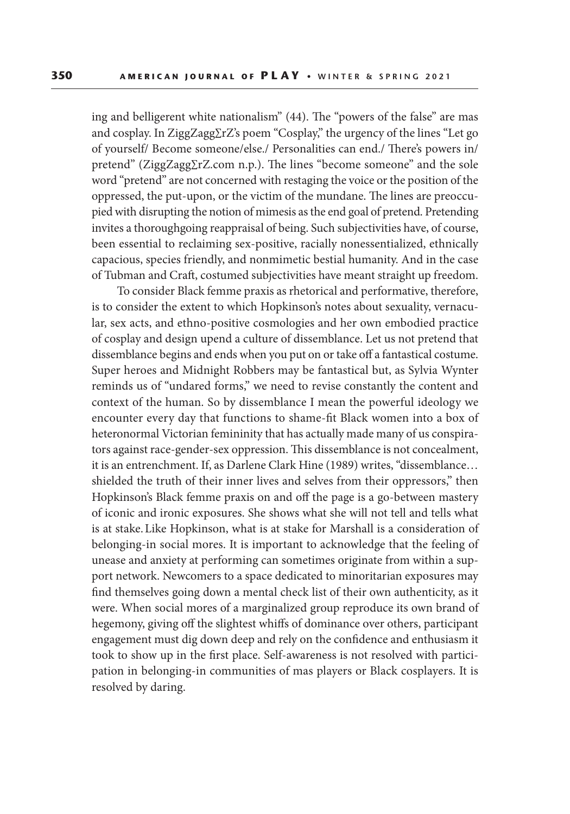ing and belligerent white nationalism" (44). The "powers of the false" are mas and cosplay. In ZiggZagg∑rZ's poem "Cosplay," the urgency of the lines "Let go of yourself/ Become someone/else./ Personalities can end./ There's powers in/ pretend" (ZiggZagg∑rZ.com n.p.). The lines "become someone" and the sole word "pretend" are not concerned with restaging the voice or the position of the oppressed, the put-upon, or the victim of the mundane. The lines are preoccupied with disrupting the notion of mimesis as the end goal of pretend. Pretending invites a thoroughgoing reappraisal of being. Such subjectivities have, of course, been essential to reclaiming sex-positive, racially nonessentialized, ethnically capacious, species friendly, and nonmimetic bestial humanity. And in the case of Tubman and Craft, costumed subjectivities have meant straight up freedom.

To consider Black femme praxis as rhetorical and performative, therefore, is to consider the extent to which Hopkinson's notes about sexuality, vernacular, sex acts, and ethno-positive cosmologies and her own embodied practice of cosplay and design upend a culture of dissemblance. Let us not pretend that dissemblance begins and ends when you put on or take off a fantastical costume. Super heroes and Midnight Robbers may be fantastical but, as Sylvia Wynter reminds us of "undared forms," we need to revise constantly the content and context of the human. So by dissemblance I mean the powerful ideology we encounter every day that functions to shame-fit Black women into a box of heteronormal Victorian femininity that has actually made many of us conspirators against race-gender-sex oppression. This dissemblance is not concealment, it is an entrenchment. If, as Darlene Clark Hine (1989) writes, "dissemblance… shielded the truth of their inner lives and selves from their oppressors," then Hopkinson's Black femme praxis on and off the page is a go-between mastery of iconic and ironic exposures. She shows what she will not tell and tells what is at stake. Like Hopkinson, what is at stake for Marshall is a consideration of belonging-in social mores. It is important to acknowledge that the feeling of unease and anxiety at performing can sometimes originate from within a support network. Newcomers to a space dedicated to minoritarian exposures may find themselves going down a mental check list of their own authenticity, as it were. When social mores of a marginalized group reproduce its own brand of hegemony, giving off the slightest whiffs of dominance over others, participant engagement must dig down deep and rely on the confidence and enthusiasm it took to show up in the first place. Self-awareness is not resolved with participation in belonging-in communities of mas players or Black cosplayers. It is resolved by daring.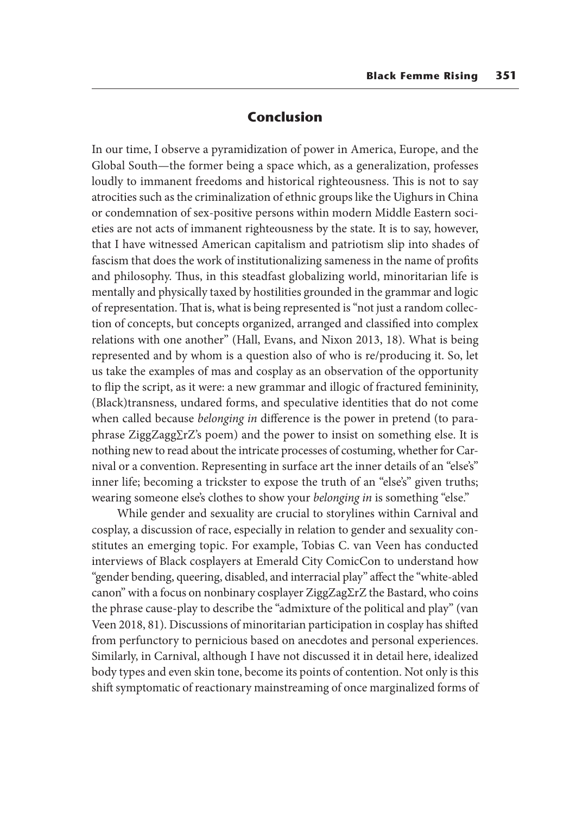#### **Conclusion**

In our time, I observe a pyramidization of power in America, Europe, and the Global South—the former being a space which, as a generalization, professes loudly to immanent freedoms and historical righteousness. This is not to say atrocities such as the criminalization of ethnic groups like the Uighurs in China or condemnation of sex-positive persons within modern Middle Eastern societies are not acts of immanent righteousness by the state. It is to say, however, that I have witnessed American capitalism and patriotism slip into shades of fascism that does the work of institutionalizing sameness in the name of profits and philosophy. Thus, in this steadfast globalizing world, minoritarian life is mentally and physically taxed by hostilities grounded in the grammar and logic of representation. That is, what is being represented is "not just a random collection of concepts, but concepts organized, arranged and classified into complex relations with one another" (Hall, Evans, and Nixon 2013, 18). What is being represented and by whom is a question also of who is re/producing it. So, let us take the examples of mas and cosplay as an observation of the opportunity to flip the script, as it were: a new grammar and illogic of fractured femininity, (Black)transness, undared forms, and speculative identities that do not come when called because *belonging in* difference is the power in pretend (to paraphrase ZiggZagg∑rZ's poem) and the power to insist on something else. It is nothing new to read about the intricate processes of costuming, whether for Carnival or a convention. Representing in surface art the inner details of an "else's" inner life; becoming a trickster to expose the truth of an "else's" given truths; wearing someone else's clothes to show your *belonging in* is something "else."

While gender and sexuality are crucial to storylines within Carnival and cosplay, a discussion of race, especially in relation to gender and sexuality constitutes an emerging topic. For example, Tobias C. van Veen has conducted interviews of Black cosplayers at Emerald City ComicCon to understand how "gender bending, queering, disabled, and interracial play" affect the "white-abled canon" with a focus on nonbinary cosplayer ZiggZagΣrZ the Bastard, who coins the phrase cause-play to describe the "admixture of the political and play" (van Veen 2018, 81). Discussions of minoritarian participation in cosplay has shifted from perfunctory to pernicious based on anecdotes and personal experiences. Similarly, in Carnival, although I have not discussed it in detail here, idealized body types and even skin tone, become its points of contention. Not only is this shift symptomatic of reactionary mainstreaming of once marginalized forms of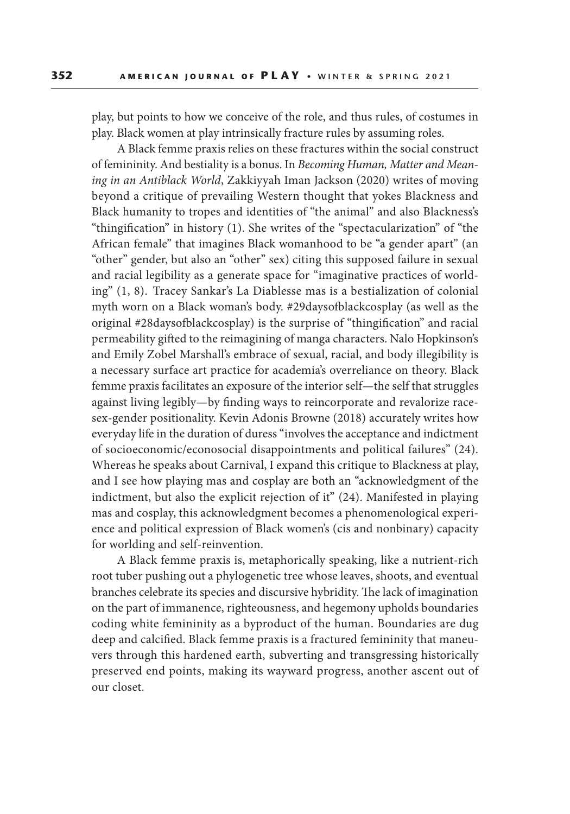play, but points to how we conceive of the role, and thus rules, of costumes in play. Black women at play intrinsically fracture rules by assuming roles.

A Black femme praxis relies on these fractures within the social construct of femininity. And bestiality is a bonus. In *Becoming Human, Matter and Meaning in an Antiblack World*, Zakkiyyah Iman Jackson (2020) writes of moving beyond a critique of prevailing Western thought that yokes Blackness and Black humanity to tropes and identities of "the animal" and also Blackness's "thingification" in history (1). She writes of the "spectacularization" of "the African female" that imagines Black womanhood to be "a gender apart" (an "other" gender, but also an "other" sex) citing this supposed failure in sexual and racial legibility as a generate space for "imaginative practices of worlding" (1, 8). Tracey Sankar's La Diablesse mas is a bestialization of colonial myth worn on a Black woman's body. #29daysofblackcosplay (as well as the original #28daysofblackcosplay) is the surprise of "thingification" and racial permeability gifted to the reimagining of manga characters. Nalo Hopkinson's and Emily Zobel Marshall's embrace of sexual, racial, and body illegibility is a necessary surface art practice for academia's overreliance on theory. Black femme praxis facilitates an exposure of the interior self—the self that struggles against living legibly—by finding ways to reincorporate and revalorize racesex-gender positionality. Kevin Adonis Browne (2018) accurately writes how everyday life in the duration of duress "involves the acceptance and indictment of socioeconomic/econosocial disappointments and political failures" (24). Whereas he speaks about Carnival, I expand this critique to Blackness at play, and I see how playing mas and cosplay are both an "acknowledgment of the indictment, but also the explicit rejection of it" (24). Manifested in playing mas and cosplay, this acknowledgment becomes a phenomenological experience and political expression of Black women's (cis and nonbinary) capacity for worlding and self-reinvention.

A Black femme praxis is, metaphorically speaking, like a nutrient-rich root tuber pushing out a phylogenetic tree whose leaves, shoots, and eventual branches celebrate its species and discursive hybridity. The lack of imagination on the part of immanence, righteousness, and hegemony upholds boundaries coding white femininity as a byproduct of the human. Boundaries are dug deep and calcified. Black femme praxis is a fractured femininity that maneuvers through this hardened earth, subverting and transgressing historically preserved end points, making its wayward progress, another ascent out of our closet.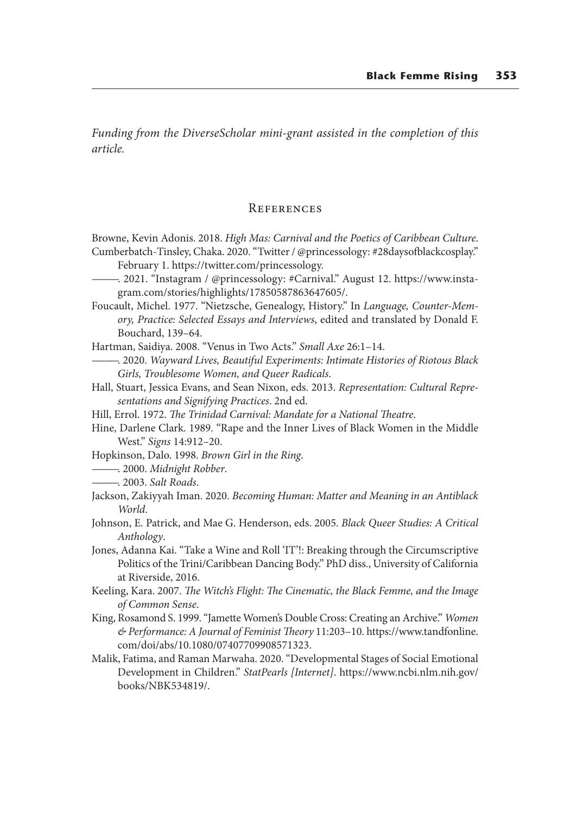*Funding from the DiverseScholar mini-grant assisted in the completion of this article.*

#### **REFERENCES**

Browne, Kevin Adonis. 2018. *High Mas: Carnival and the Poetics of Caribbean Culture*. Cumberbatch-Tinsley, Chaka. 2020. "Twitter / @princessology: #28daysofblackcosplay."

- February 1. https://twitter.com/princessology.
- ———. 2021. "Instagram / @princessology: #Carnival." August 12. https://www.instagram.com/stories/highlights/17850587863647605/.
- Foucault, Michel. 1977. "Nietzsche, Genealogy, History." In *Language, Counter-Memory, Practice: Selected Essays and Interviews*, edited and translated by Donald F. Bouchard, 139–64.

Hartman, Saidiya. 2008. "Venus in Two Acts." *Small Axe* 26:1–14.

- ———. 2020. *Wayward Lives, Beautiful Experiments: Intimate Histories of Riotous Black Girls, Troublesome Women, and Queer Radicals*.
- Hall, Stuart, Jessica Evans, and Sean Nixon, eds. 2013. *Representation: Cultural Representations and Signifying Practices*. 2nd ed.
- Hill, Errol. 1972. *The Trinidad Carnival: Mandate for a National Theatre*.
- Hine, Darlene Clark. 1989. "Rape and the Inner Lives of Black Women in the Middle West." *Signs* 14:912–20.
- Hopkinson, Dalo. 1998. *Brown Girl in the Ring*.

———. 2000. *Midnight Robber*.

- ———. 2003. *Salt Roads*.
- Jackson, Zakiyyah Iman. 2020. *Becoming Human: Matter and Meaning in an Antiblack World*.
- Johnson, E. Patrick, and Mae G. Henderson, eds. 2005. *Black Queer Studies: A Critical Anthology*.
- Jones, Adanna Kai. "Take a Wine and Roll 'IT'!: Breaking through the Circumscriptive Politics of the Trini/Caribbean Dancing Body." PhD diss., University of California at Riverside, 2016.
- Keeling, Kara. 2007. *The Witch's Flight: The Cinematic, the Black Femme, and the Image of Common Sense*.
- King, Rosamond S. 1999. "Jamette Women's Double Cross: Creating an Archive." *Women & Performance: A Journal of Feminist Theory* 11:203–10. https://www.tandfonline. com/doi/abs/10.1080/07407709908571323.
- Malik, Fatima, and Raman Marwaha. 2020. "Developmental Stages of Social Emotional Development in Children." *StatPearls [Internet]*. https://www.ncbi.nlm.nih.gov/ books/NBK534819/.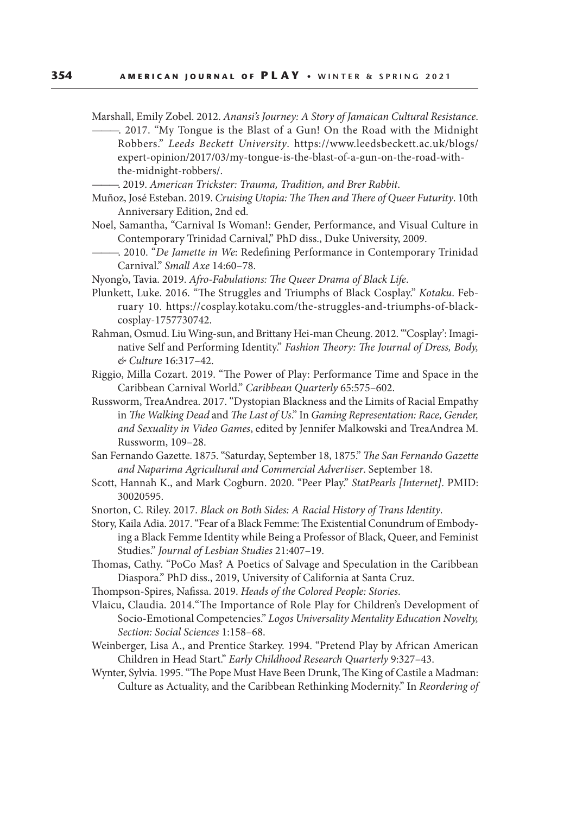Marshall, Emily Zobel. 2012. *Anansi's Journey: A Story of Jamaican Cultural Resistance*.

- -. 2017. "My Tongue is the Blast of a Gun! On the Road with the Midnight Robbers." *Leeds Beckett University*. https://www.leedsbeckett.ac.uk/blogs/ expert-opinion/2017/03/my-tongue-is-the-blast-of-a-gun-on-the-road-withthe-midnight-robbers/.
- ———. 2019. *American Trickster: Trauma, Tradition, and Brer Rabbit*.
- Muñoz, José Esteban. 2019. *Cruising Utopia: The Then and There of Queer Futurity*. 10th Anniversary Edition, 2nd ed.
- Noel, Samantha, "Carnival Is Woman!: Gender, Performance, and Visual Culture in Contemporary Trinidad Carnival," PhD diss., Duke University, 2009.
	- ———. 2010. "*De Jamette in We*: Redefining Performance in Contemporary Trinidad Carnival." *Small Axe* 14:60–78.
- Nyong'o, Tavia. 2019. *Afro-Fabulations: The Queer Drama of Black Life*.
- Plunkett, Luke. 2016. "The Struggles and Triumphs of Black Cosplay." *Kotaku*. February 10. https://cosplay.kotaku.com/the-struggles-and-triumphs-of-blackcosplay-1757730742.
- Rahman, Osmud. Liu Wing-sun, and Brittany Hei-man Cheung. 2012. "'Cosplay': Imaginative Self and Performing Identity." *Fashion Theory: The Journal of Dress, Body, & Culture* 16:317–42.
- Riggio, Milla Cozart. 2019. "The Power of Play: Performance Time and Space in the Caribbean Carnival World." *Caribbean Quarterly* 65:575–602.
- Russworm, TreaAndrea. 2017. "Dystopian Blackness and the Limits of Racial Empathy in *The Walking Dead* and *The Last of Us*." In *Gaming Representation: Race, Gender, and Sexuality in Video Games*, edited by Jennifer Malkowski and TreaAndrea M. Russworm, 109–28.
- San Fernando Gazette. 1875. "Saturday, September 18, 1875." *The San Fernando Gazette and Naparima Agricultural and Commercial Advertiser*. September 18.
- Scott, Hannah K., and Mark Cogburn. 2020. "Peer Play." *StatPearls [Internet]*. PMID: 30020595.
- Snorton, C. Riley. 2017. *Black on Both Sides: A Racial History of Trans Identity*.

Story, Kaila Adia. 2017. "Fear of a Black Femme: The Existential Conundrum of Embodying a Black Femme Identity while Being a Professor of Black, Queer, and Feminist Studies." *Journal of Lesbian Studies* 21:407–19.

- Thomas, Cathy. "PoCo Mas? A Poetics of Salvage and Speculation in the Caribbean Diaspora." PhD diss., 2019, University of California at Santa Cruz.
- Thompson-Spires, Nafissa. 2019. *Heads of the Colored People: Stories*.
- Vlaicu, Claudia. 2014."The Importance of Role Play for Children's Development of Socio-Emotional Competencies." *Logos Universality Mentality Education Novelty, Section: Social Sciences* 1:158–68.
- Weinberger, Lisa A., and Prentice Starkey. 1994. "Pretend Play by African American Children in Head Start." *Early Childhood Research Quarterly* 9:327–43.
- Wynter, Sylvia. 1995. "The Pope Must Have Been Drunk, The King of Castile a Madman: Culture as Actuality, and the Caribbean Rethinking Modernity." In *Reordering of*